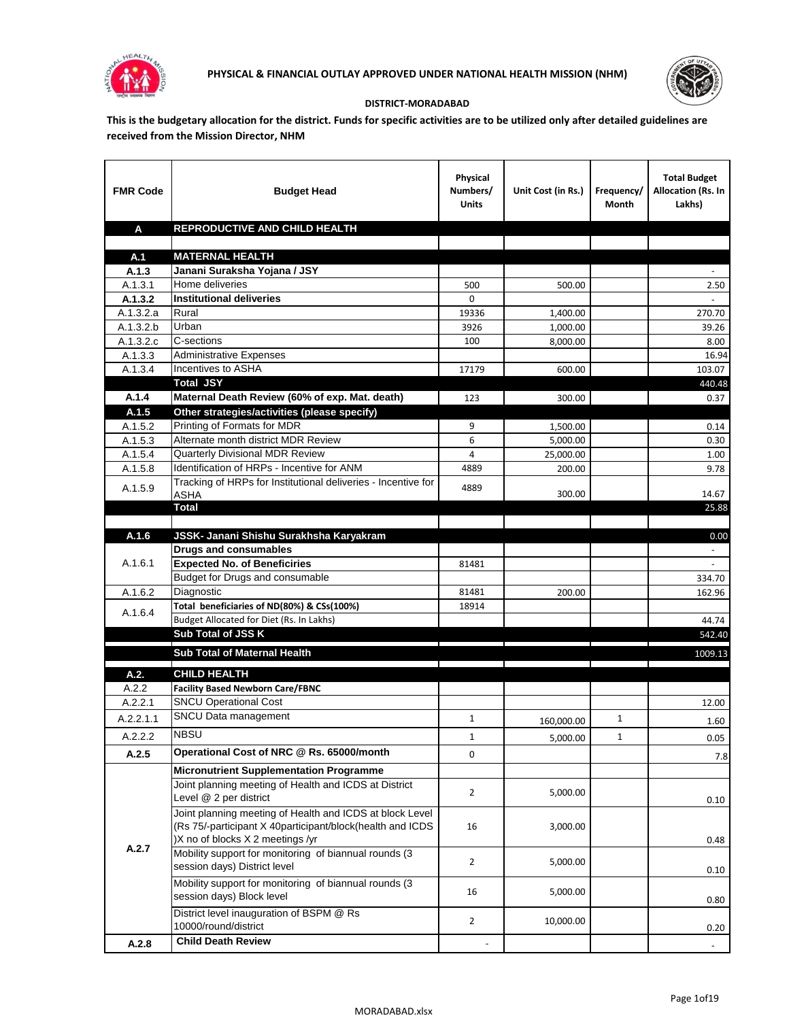



## **DISTRICT-MORADABAD**

**This is the budgetary allocation for the district. Funds for specific activities are to be utilized only after detailed guidelines are received from the Mission Director, NHM**

| <b>FMR Code</b>      | <b>Budget Head</b>                                                              | Physical<br>Numbers/<br><b>Units</b> | Unit Cost (in Rs.) | Frequency/<br>Month | <b>Total Budget</b><br>Allocation (Rs. In<br>Lakhs) |
|----------------------|---------------------------------------------------------------------------------|--------------------------------------|--------------------|---------------------|-----------------------------------------------------|
| A                    | REPRODUCTIVE AND CHILD HEALTH                                                   |                                      |                    |                     |                                                     |
|                      |                                                                                 |                                      |                    |                     |                                                     |
| A.1                  | <b>MATERNAL HEALTH</b>                                                          |                                      |                    |                     |                                                     |
| A.1.3                | Janani Suraksha Yojana / JSY                                                    |                                      |                    |                     |                                                     |
| A.1.3.1              | Home deliveries                                                                 | 500                                  | 500.00             |                     | 2.50                                                |
| A.1.3.2              | <b>Institutional deliveries</b>                                                 | 0                                    |                    |                     |                                                     |
| A.1.3.2.a            | Rural                                                                           | 19336                                | 1,400.00           |                     | 270.70                                              |
| A.1.3.2.b            | Urban<br>C-sections                                                             | 3926                                 | 1,000.00           |                     | 39.26                                               |
| A.1.3.2.c<br>A.1.3.3 | <b>Administrative Expenses</b>                                                  | 100                                  | 8,000.00           |                     | 8.00<br>16.94                                       |
| A.1.3.4              | Incentives to ASHA                                                              | 17179                                | 600.00             |                     | 103.07                                              |
|                      | <b>Total JSY</b>                                                                |                                      |                    |                     | 440.48                                              |
| A.1.4                | Maternal Death Review (60% of exp. Mat. death)                                  | 123                                  | 300.00             |                     | 0.37                                                |
| A.1.5                | Other strategies/activities (please specify)                                    |                                      |                    |                     |                                                     |
| A.1.5.2              | Printing of Formats for MDR                                                     | 9                                    | 1.500.00           |                     | 0.14                                                |
| A.1.5.3              | Alternate month district MDR Review                                             | 6                                    | 5,000.00           |                     | 0.30                                                |
| A.1.5.4              | <b>Quarterly Divisional MDR Review</b>                                          | 4                                    | 25,000.00          |                     | 1.00                                                |
| A.1.5.8              | Identification of HRPs - Incentive for ANM                                      | 4889                                 | 200.00             |                     | 9.78                                                |
|                      | Tracking of HRPs for Institutional deliveries - Incentive for                   |                                      |                    |                     |                                                     |
| A.1.5.9              | <b>ASHA</b>                                                                     | 4889                                 | 300.00             |                     | 14.67                                               |
|                      | <b>Total</b>                                                                    |                                      |                    |                     | 25.88                                               |
|                      |                                                                                 |                                      |                    |                     |                                                     |
| A.1.6                | JSSK- Janani Shishu Surakhsha Karyakram                                         |                                      |                    |                     | 0.00                                                |
|                      | <b>Drugs and consumables</b>                                                    |                                      |                    |                     |                                                     |
| A.1.6.1              | <b>Expected No. of Beneficiries</b>                                             | 81481                                |                    |                     |                                                     |
|                      | Budget for Drugs and consumable                                                 |                                      |                    |                     | 334.70                                              |
| A.1.6.2              | Diagnostic<br>Total beneficiaries of ND(80%) & CSs(100%)                        | 81481                                | 200.00             |                     | 162.96                                              |
| A.1.6.4              | Budget Allocated for Diet (Rs. In Lakhs)                                        | 18914                                |                    |                     | 44.74                                               |
|                      | Sub Total of JSS K                                                              |                                      |                    |                     | 542.40                                              |
|                      |                                                                                 |                                      |                    |                     |                                                     |
|                      | Sub Total of Maternal Health                                                    |                                      |                    |                     | 1009.13                                             |
| A.2.                 | <b>CHILD HEALTH</b>                                                             |                                      |                    |                     |                                                     |
| A.2.2                | <b>Facility Based Newborn Care/FBNC</b>                                         |                                      |                    |                     |                                                     |
| A.2.2.1              | <b>SNCU Operational Cost</b>                                                    |                                      |                    |                     | 12.00                                               |
| A.2.2.1.1            | SNCU Data management                                                            | $\mathbf{1}$                         | 160,000.00         | $\mathbf{1}$        | 1.60                                                |
| A.2.2.2              | <b>NBSU</b>                                                                     | 1                                    | 5,000.00           | 1                   | 0.05                                                |
| A.2.5                | Operational Cost of NRC @ Rs. 65000/month                                       | 0                                    |                    |                     |                                                     |
|                      |                                                                                 |                                      |                    |                     | 7.8                                                 |
|                      | <b>Micronutrient Supplementation Programme</b>                                  |                                      |                    |                     |                                                     |
|                      | Joint planning meeting of Health and ICDS at District<br>Level @ 2 per district | $\overline{2}$                       | 5,000.00           |                     | 0.10                                                |
|                      | Joint planning meeting of Health and ICDS at block Level                        |                                      |                    |                     |                                                     |
|                      | (Rs 75/-participant X 40participant/block(health and ICDS                       | 16                                   | 3,000.00           |                     |                                                     |
|                      | )X no of blocks X 2 meetings /yr                                                |                                      |                    |                     | 0.48                                                |
| A.2.7                | Mobility support for monitoring of biannual rounds (3                           |                                      |                    |                     |                                                     |
|                      | session days) District level                                                    | $\overline{2}$                       | 5,000.00           |                     | 0.10                                                |
|                      | Mobility support for monitoring of biannual rounds (3                           |                                      |                    |                     |                                                     |
|                      | session days) Block level                                                       | 16                                   | 5,000.00           |                     | 0.80                                                |
|                      | District level inauguration of BSPM @ Rs                                        |                                      |                    |                     |                                                     |
|                      | 10000/round/district                                                            | $\overline{2}$                       | 10,000.00          |                     | 0.20                                                |
| A.2.8                | <b>Child Death Review</b>                                                       |                                      |                    |                     | $\overline{\phantom{a}}$                            |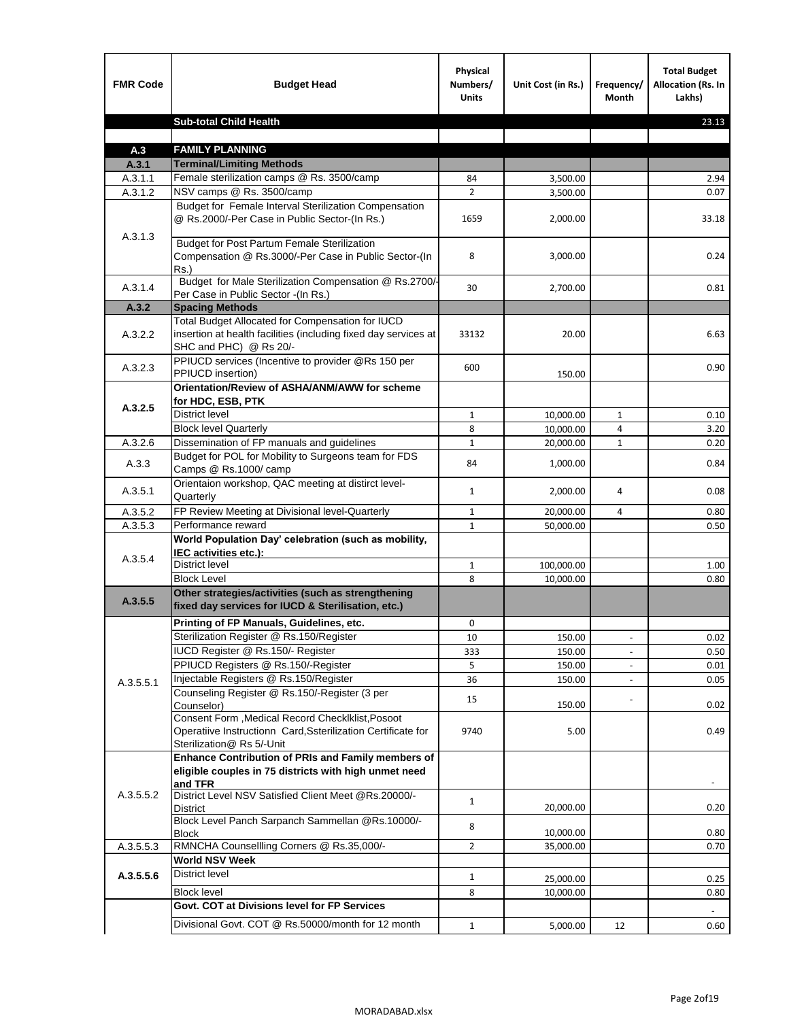| <b>FMR Code</b>    | <b>Budget Head</b>                                                                                                                             | Physical<br>Numbers/<br><b>Units</b> | Unit Cost (in Rs.) | Frequency/<br>Month      | <b>Total Budget</b><br><b>Allocation (Rs. In</b><br>Lakhs) |
|--------------------|------------------------------------------------------------------------------------------------------------------------------------------------|--------------------------------------|--------------------|--------------------------|------------------------------------------------------------|
|                    | <b>Sub-total Child Health</b>                                                                                                                  |                                      |                    |                          | 23.13                                                      |
|                    |                                                                                                                                                |                                      |                    |                          |                                                            |
| A.3                | <b>FAMILY PLANNING</b>                                                                                                                         |                                      |                    |                          |                                                            |
| A.3.1              | <b>Terminal/Limiting Methods</b>                                                                                                               |                                      |                    |                          |                                                            |
| A.3.1.1<br>A.3.1.2 | Female sterilization camps @ Rs. 3500/camp<br>NSV camps @ Rs. 3500/camp                                                                        | 84<br>$\overline{2}$                 | 3,500.00           |                          | 2.94<br>0.07                                               |
|                    | Budget for Female Interval Sterilization Compensation                                                                                          |                                      | 3,500.00           |                          |                                                            |
| A.3.1.3            | @ Rs.2000/-Per Case in Public Sector-(In Rs.)                                                                                                  | 1659                                 | 2,000.00           |                          | 33.18                                                      |
|                    | <b>Budget for Post Partum Female Sterilization</b><br>Compensation @ Rs.3000/-Per Case in Public Sector-(In<br>$Rs.$ )                         | 8                                    | 3,000.00           |                          | 0.24                                                       |
| A.3.1.4            | Budget for Male Sterilization Compensation @ Rs.2700/-<br>Per Case in Public Sector -(In Rs.)                                                  | 30                                   | 2,700.00           |                          | 0.81                                                       |
| A.3.2              | <b>Spacing Methods</b>                                                                                                                         |                                      |                    |                          |                                                            |
| A.3.2.2            | Total Budget Allocated for Compensation for IUCD<br>insertion at health facilities (including fixed day services at<br>SHC and PHC) @ Rs 20/-  | 33132                                | 20.00              |                          | 6.63                                                       |
| A.3.2.3            | PPIUCD services (Incentive to provider @Rs 150 per<br>PPIUCD insertion)                                                                        | 600                                  | 150.00             |                          | 0.90                                                       |
|                    | Orientation/Review of ASHA/ANM/AWW for scheme<br>for HDC, ESB, PTK                                                                             |                                      |                    |                          |                                                            |
| A.3.2.5            | <b>District level</b>                                                                                                                          | $\mathbf{1}$                         | 10,000.00          | $\mathbf{1}$             | 0.10                                                       |
|                    | <b>Block level Quarterly</b>                                                                                                                   | 8                                    | 10,000.00          | 4                        | 3.20                                                       |
| A.3.2.6            | Dissemination of FP manuals and guidelines                                                                                                     | $\mathbf{1}$                         | 20,000.00          | $\mathbf{1}$             | 0.20                                                       |
| A.3.3              | Budget for POL for Mobility to Surgeons team for FDS<br>Camps @ Rs.1000/camp                                                                   | 84                                   | 1,000.00           |                          | 0.84                                                       |
| A.3.5.1            | Orientaion workshop, QAC meeting at distirct level-<br>Quarterly                                                                               | $\mathbf{1}$                         | 2,000.00           | 4                        | 0.08                                                       |
| A.3.5.2            | FP Review Meeting at Divisional level-Quarterly                                                                                                | 1                                    | 20,000.00          | 4                        | 0.80                                                       |
| A.3.5.3            | Performance reward                                                                                                                             | $\mathbf{1}$                         | 50,000.00          |                          | 0.50                                                       |
| A.3.5.4            | World Population Day' celebration (such as mobility,<br>IEC activities etc.):                                                                  |                                      |                    |                          |                                                            |
|                    | District level                                                                                                                                 | 1                                    | 100,000.00         |                          | 1.00                                                       |
|                    | <b>Block Level</b>                                                                                                                             | 8                                    | 10.000.00          |                          | 0.80                                                       |
| A.3.5.5            | Other strategies/activities (such as strengthening<br>fixed day services for IUCD & Sterilisation, etc.)                                       |                                      |                    |                          |                                                            |
|                    | Printing of FP Manuals, Guidelines, etc.                                                                                                       | 0                                    |                    |                          |                                                            |
|                    | Sterilization Register @ Rs.150/Register                                                                                                       | 10                                   | 150.00             | $\overline{\phantom{a}}$ | 0.02                                                       |
|                    | IUCD Register @ Rs.150/- Register                                                                                                              | 333                                  | 150.00             |                          | 0.50                                                       |
|                    | PPIUCD Registers @ Rs.150/-Register                                                                                                            | 5                                    | 150.00             |                          | 0.01                                                       |
| A.3.5.5.1          | Injectable Registers @ Rs.150/Register                                                                                                         | 36                                   | 150.00             |                          | 0.05                                                       |
|                    | Counseling Register @ Rs.150/-Register (3 per<br>Counselor)                                                                                    | 15                                   | 150.00             |                          | 0.02                                                       |
|                    | Consent Form , Medical Record CheckIklist, Posoot<br>Operatiive Instructionn Card, Ssterilization Certificate for<br>Sterilization@ Rs 5/-Unit | 9740                                 | 5.00               |                          | 0.49                                                       |
|                    | Enhance Contribution of PRIs and Family members of<br>eligible couples in 75 districts with high unmet need<br>and TFR                         |                                      |                    |                          |                                                            |
| A.3.5.5.2          | District Level NSV Satisfied Client Meet @Rs.20000/-<br>District                                                                               | $\mathbf{1}$                         | 20,000.00          |                          | 0.20                                                       |
|                    | Block Level Panch Sarpanch Sammellan @Rs.10000/-<br>Block                                                                                      | 8                                    | 10,000.00          |                          | 0.80                                                       |
| A.3.5.5.3          | RMNCHA Counsellling Corners @ Rs.35,000/-                                                                                                      | $\overline{2}$                       | 35,000.00          |                          | 0.70                                                       |
|                    | <b>World NSV Week</b>                                                                                                                          |                                      |                    |                          |                                                            |
| A.3.5.5.6          | <b>District level</b>                                                                                                                          | $\mathbf{1}$                         | 25,000.00          |                          | 0.25                                                       |
|                    | <b>Block level</b>                                                                                                                             | 8                                    | 10,000.00          |                          | 0.80                                                       |
|                    | Govt. COT at Divisions level for FP Services                                                                                                   |                                      |                    |                          |                                                            |
|                    | Divisional Govt. COT @ Rs.50000/month for 12 month                                                                                             | $\mathbf{1}$                         | 5,000.00           | 12                       | 0.60                                                       |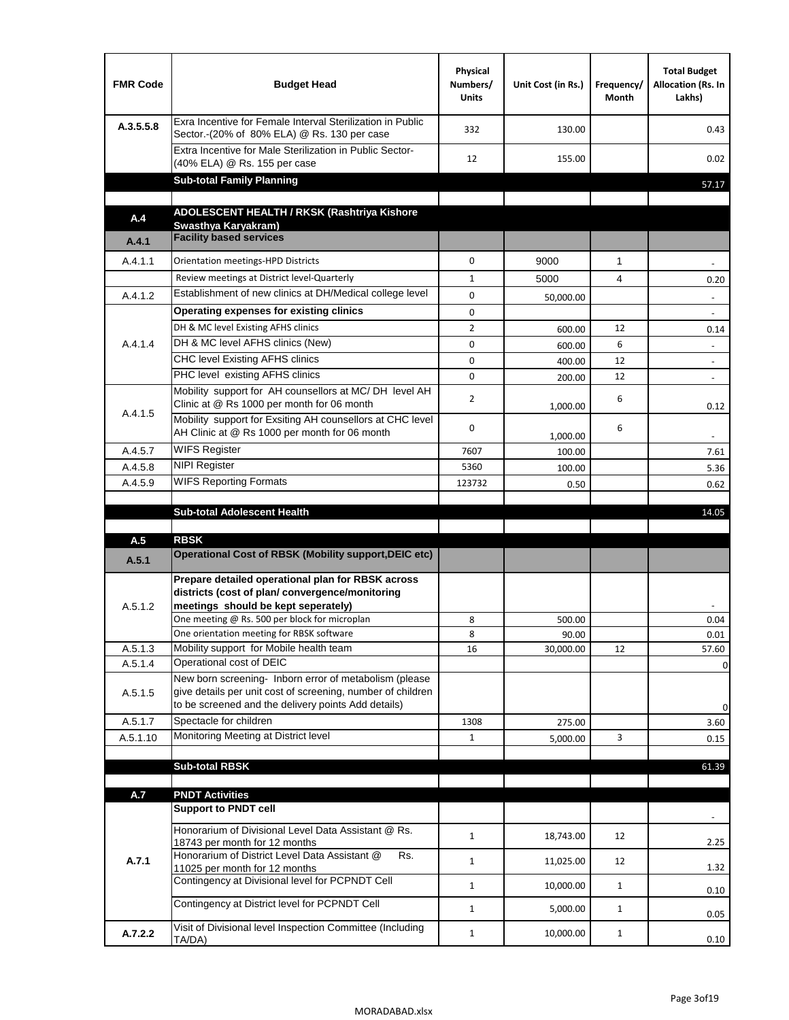| <b>FMR Code</b>    | <b>Budget Head</b>                                                                                                                                                           | Physical<br>Numbers/<br><b>Units</b> | Unit Cost (in Rs.) | Frequency/<br>Month | <b>Total Budget</b><br>Allocation (Rs. In<br>Lakhs) |
|--------------------|------------------------------------------------------------------------------------------------------------------------------------------------------------------------------|--------------------------------------|--------------------|---------------------|-----------------------------------------------------|
| A.3.5.5.8          | Exra Incentive for Female Interval Sterilization in Public<br>Sector.-(20% of 80% ELA) @ Rs. 130 per case                                                                    | 332                                  | 130.00             |                     | 0.43                                                |
|                    | Extra Incentive for Male Sterilization in Public Sector-<br>(40% ELA) @ Rs. 155 per case                                                                                     | 12                                   | 155.00             |                     | 0.02                                                |
|                    | <b>Sub-total Family Planning</b>                                                                                                                                             |                                      |                    |                     | 57.17                                               |
|                    | ADOLESCENT HEALTH / RKSK (Rashtriya Kishore                                                                                                                                  |                                      |                    |                     |                                                     |
| A.4                | Swasthya Karyakram)<br><b>Facility based services</b>                                                                                                                        |                                      |                    |                     |                                                     |
| A.4.1              |                                                                                                                                                                              |                                      |                    |                     |                                                     |
| A.4.1.1            | Orientation meetings-HPD Districts                                                                                                                                           | $\Omega$                             | 9000               | $\mathbf{1}$        |                                                     |
|                    | Review meetings at District level-Quarterly                                                                                                                                  | $\mathbf{1}$                         | 5000               | 4                   | 0.20                                                |
| A.4.1.2            | Establishment of new clinics at DH/Medical college level                                                                                                                     | $\Omega$                             | 50,000.00          |                     |                                                     |
|                    | Operating expenses for existing clinics                                                                                                                                      | 0                                    |                    |                     |                                                     |
|                    | DH & MC level Existing AFHS clinics                                                                                                                                          | $\overline{2}$                       | 600.00             | 12                  | 0.14                                                |
| A.4.1.4            | DH & MC level AFHS clinics (New)                                                                                                                                             | 0                                    | 600.00             | 6                   | $\overline{\phantom{a}}$                            |
|                    | CHC level Existing AFHS clinics                                                                                                                                              | 0                                    | 400.00             | 12                  | $\overline{\phantom{a}}$                            |
|                    | PHC level existing AFHS clinics<br>Mobility support for AH counsellors at MC/DH level AH                                                                                     | $\Omega$                             | 200.00             | 12                  | $\blacksquare$                                      |
| A.4.1.5            | Clinic at @ Rs 1000 per month for 06 month<br>Mobility support for Exsiting AH counsellors at CHC level                                                                      | 2                                    | 1,000.00           | 6                   | 0.12                                                |
|                    | AH Clinic at @ Rs 1000 per month for 06 month                                                                                                                                | 0                                    | 1,000.00           | 6                   | $\blacksquare$                                      |
| A.4.5.7            | <b>WIFS Register</b>                                                                                                                                                         | 7607                                 | 100.00             |                     | 7.61                                                |
| A.4.5.8            | <b>NIPI Register</b>                                                                                                                                                         | 5360                                 | 100.00             |                     | 5.36                                                |
| A.4.5.9            | <b>WIFS Reporting Formats</b>                                                                                                                                                | 123732                               | 0.50               |                     | 0.62                                                |
|                    |                                                                                                                                                                              |                                      |                    |                     |                                                     |
|                    | <b>Sub-total Adolescent Health</b>                                                                                                                                           |                                      |                    |                     | 14.05                                               |
| A.5                | <b>RBSK</b>                                                                                                                                                                  |                                      |                    |                     |                                                     |
| A.5.1              | <b>Operational Cost of RBSK (Mobility support, DEIC etc)</b>                                                                                                                 |                                      |                    |                     |                                                     |
| A.5.1.2            | Prepare detailed operational plan for RBSK across<br>districts (cost of plan/convergence/monitoring<br>meetings should be kept seperately)                                   |                                      |                    |                     |                                                     |
|                    | One meeting @ Rs. 500 per block for microplan                                                                                                                                | 8                                    | 500.00             |                     | 0.04                                                |
|                    | One orientation meeting for RBSK software                                                                                                                                    | 8                                    | 90.00              |                     | 0.01                                                |
| A.5.1.3            | Mobility support for Mobile health team<br>Operational cost of DEIC                                                                                                          | 16                                   | 30,000.00          | 12                  | 57.60                                               |
| A.5.1.4<br>A.5.1.5 | New born screening- Inborn error of metabolism (please<br>give details per unit cost of screening, number of children<br>to be screened and the delivery points Add details) |                                      |                    |                     | 0<br>0                                              |
| A.5.1.7            | Spectacle for children                                                                                                                                                       | 1308                                 | 275.00             |                     | 3.60                                                |
| A.5.1.10           | Monitoring Meeting at District level                                                                                                                                         | $\mathbf{1}$                         | 5,000.00           | 3                   | 0.15                                                |
|                    |                                                                                                                                                                              |                                      |                    |                     |                                                     |
|                    | <b>Sub-total RBSK</b>                                                                                                                                                        |                                      |                    |                     | 61.39                                               |
| A.7                | <b>PNDT Activities</b>                                                                                                                                                       |                                      |                    |                     |                                                     |
|                    | <b>Support to PNDT cell</b>                                                                                                                                                  |                                      |                    |                     |                                                     |
|                    | Honorarium of Divisional Level Data Assistant @ Rs.<br>18743 per month for 12 months                                                                                         | $\mathbf{1}$                         | 18,743.00          | 12                  | 2.25                                                |
| A.7.1              | Honorarium of District Level Data Assistant @<br>Rs.<br>11025 per month for 12 months                                                                                        | $\mathbf{1}$                         | 11,025.00          | 12                  | 1.32                                                |
|                    | Contingency at Divisional level for PCPNDT Cell                                                                                                                              | $\mathbf{1}$                         | 10,000.00          | $\mathbf{1}$        | 0.10                                                |
|                    | Contingency at District level for PCPNDT Cell                                                                                                                                | $\mathbf{1}$                         | 5,000.00           | $\mathbf{1}$        | 0.05                                                |
| A.7.2.2            | Visit of Divisional level Inspection Committee (Including<br>TA/DA)                                                                                                          | $\mathbf{1}$                         | 10,000.00          | $\mathbf{1}$        | 0.10                                                |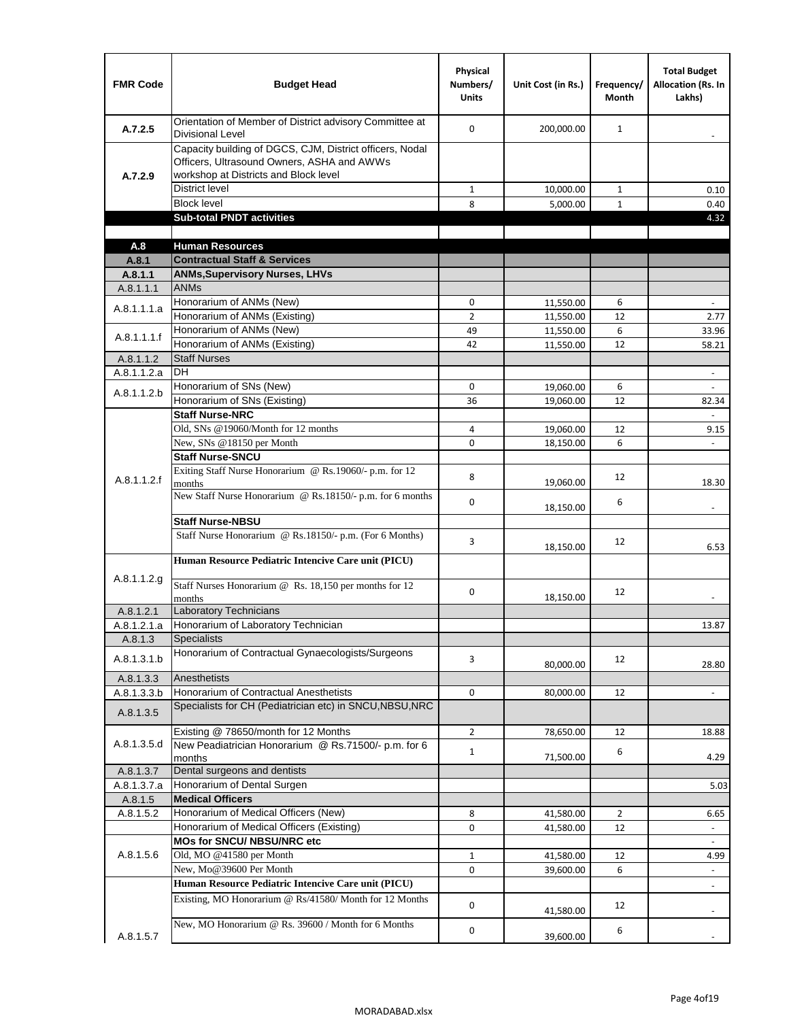| <b>FMR Code</b>      | <b>Budget Head</b>                                                                                                                              | Physical<br>Numbers/<br><b>Units</b> | Unit Cost (in Rs.)     | Frequency/<br><b>Month</b> | <b>Total Budget</b><br><b>Allocation (Rs. In</b><br>Lakhs) |
|----------------------|-------------------------------------------------------------------------------------------------------------------------------------------------|--------------------------------------|------------------------|----------------------------|------------------------------------------------------------|
| A.7.2.5              | Orientation of Member of District advisory Committee at<br><b>Divisional Level</b>                                                              | $\Omega$                             | 200,000.00             | $\mathbf{1}$               | $\overline{\phantom{m}}$                                   |
| A.7.2.9              | Capacity building of DGCS, CJM, District officers, Nodal<br>Officers, Ultrasound Owners, ASHA and AWWs<br>workshop at Districts and Block level |                                      |                        |                            |                                                            |
|                      | <b>District level</b>                                                                                                                           | $\mathbf{1}$                         | 10,000.00              | 1                          | 0.10                                                       |
|                      | <b>Block level</b>                                                                                                                              | 8                                    | 5,000.00               | $\mathbf{1}$               | 0.40                                                       |
|                      | <b>Sub-total PNDT activities</b>                                                                                                                |                                      |                        |                            | 4.32                                                       |
|                      |                                                                                                                                                 |                                      |                        |                            |                                                            |
| A.8                  | <b>Human Resources</b>                                                                                                                          |                                      |                        |                            |                                                            |
| A.8.1                | <b>Contractual Staff &amp; Services</b>                                                                                                         |                                      |                        |                            |                                                            |
| A.8.1.1<br>A.8.1.1.1 | <b>ANMs, Supervisory Nurses, LHVs</b><br><b>ANMs</b>                                                                                            |                                      |                        |                            |                                                            |
|                      | Honorarium of ANMs (New)                                                                                                                        | 0                                    |                        | 6                          | $\blacksquare$                                             |
| A.8.1.1.1.a          | Honorarium of ANMs (Existing)                                                                                                                   | $\overline{2}$                       | 11,550.00<br>11,550.00 | 12                         | 2.77                                                       |
|                      | Honorarium of ANMs (New)                                                                                                                        | 49                                   | 11,550.00              | 6                          | 33.96                                                      |
| A.8.1.1.1.f          | Honorarium of ANMs (Existing)                                                                                                                   | 42                                   | 11,550.00              | 12                         | 58.21                                                      |
| A.8.1.1.2            | <b>Staff Nurses</b>                                                                                                                             |                                      |                        |                            |                                                            |
| A.8.1.1.2.a          | <b>DH</b>                                                                                                                                       |                                      |                        |                            | $\blacksquare$                                             |
|                      | Honorarium of SNs (New)                                                                                                                         | 0                                    | 19,060.00              | 6                          |                                                            |
| A.8.1.1.2.b          | Honorarium of SNs (Existing)                                                                                                                    | 36                                   | 19.060.00              | 12                         | 82.34                                                      |
|                      | <b>Staff Nurse-NRC</b>                                                                                                                          |                                      |                        |                            | $\overline{a}$                                             |
|                      | Old, SNs @19060/Month for 12 months                                                                                                             | 4                                    | 19,060.00              | 12                         | 9.15                                                       |
|                      | New, SNs @18150 per Month                                                                                                                       | 0                                    | 18,150.00              | 6                          |                                                            |
|                      | <b>Staff Nurse-SNCU</b>                                                                                                                         |                                      |                        |                            |                                                            |
| A.8.1.1.2.f          | Exiting Staff Nurse Honorarium @ Rs.19060/- p.m. for 12<br>months                                                                               | 8                                    | 19,060.00              | 12                         | 18.30                                                      |
|                      | New Staff Nurse Honorarium @ Rs.18150/- p.m. for 6 months<br><b>Staff Nurse-NBSU</b>                                                            | 0                                    | 18,150.00              | 6                          |                                                            |
|                      |                                                                                                                                                 |                                      |                        |                            |                                                            |
|                      | Staff Nurse Honorarium @ Rs.18150/- p.m. (For 6 Months)<br>Human Resource Pediatric Intencive Care unit (PICU)                                  | 3                                    | 18,150.00              | 12                         | 6.53                                                       |
|                      |                                                                                                                                                 |                                      |                        |                            |                                                            |
| A.8.1.1.2.g          | Staff Nurses Honorarium @ Rs. 18,150 per months for 12<br>months                                                                                | 0                                    | 18,150.00              | 12                         |                                                            |
| A.8.1.2.1            | <b>Laboratory Technicians</b>                                                                                                                   |                                      |                        |                            |                                                            |
| A.8.1.2.1.a          | Honorarium of Laboratory Technician                                                                                                             |                                      |                        |                            | 13.87                                                      |
| A.8.1.3              | <b>Specialists</b>                                                                                                                              |                                      |                        |                            |                                                            |
| A.8.1.3.1.b          | Honorarium of Contractual Gynaecologists/Surgeons                                                                                               | 3                                    | 80,000.00              | 12                         | 28.80                                                      |
| A.8.1.3.3            | Anesthetists                                                                                                                                    |                                      |                        |                            |                                                            |
| A.8.1.3.3.b          | Honorarium of Contractual Anesthetists                                                                                                          | 0                                    | 80,000.00              | 12                         | $\blacksquare$                                             |
| A.8.1.3.5            | Specialists for CH (Pediatrician etc) in SNCU, NBSU, NRC                                                                                        |                                      |                        |                            |                                                            |
|                      | Existing @ 78650/month for 12 Months                                                                                                            | $\overline{2}$                       | 78,650.00              | 12                         | 18.88                                                      |
| A.8.1.3.5.d          | New Peadiatrician Honorarium @ Rs.71500/- p.m. for 6<br>months                                                                                  | $\mathbf{1}$                         | 71,500.00              | 6                          | 4.29                                                       |
| A.8.1.3.7            | Dental surgeons and dentists                                                                                                                    |                                      |                        |                            |                                                            |
| A.8.1.3.7.a          | Honorarium of Dental Surgen                                                                                                                     |                                      |                        |                            | 5.03                                                       |
| A.8.1.5              | <b>Medical Officers</b>                                                                                                                         |                                      |                        |                            |                                                            |
| A.8.1.5.2            | Honorarium of Medical Officers (New)                                                                                                            | 8                                    | 41,580.00              | $\overline{2}$             | 6.65                                                       |
|                      | Honorarium of Medical Officers (Existing)                                                                                                       | 0                                    | 41,580.00              | 12                         | $\overline{\phantom{a}}$                                   |
|                      | MOs for SNCU/ NBSU/NRC etc                                                                                                                      |                                      |                        |                            |                                                            |
| A.8.1.5.6            | Old, MO @41580 per Month                                                                                                                        | $\mathbf{1}$                         | 41,580.00              | 12                         | 4.99                                                       |
|                      | New, Mo@39600 Per Month                                                                                                                         | 0                                    | 39,600.00              | 6                          | $\overline{\phantom{a}}$                                   |
|                      | Human Resource Pediatric Intencive Care unit (PICU)                                                                                             |                                      |                        |                            | $\frac{1}{2}$                                              |
|                      | Existing, MO Honorarium @ Rs/41580/ Month for 12 Months                                                                                         | $\mathbf 0$                          | 41,580.00              | 12                         |                                                            |
| A.8.1.5.7            | New, MO Honorarium @ Rs. 39600 / Month for 6 Months                                                                                             | 0                                    | 39,600.00              | 6                          |                                                            |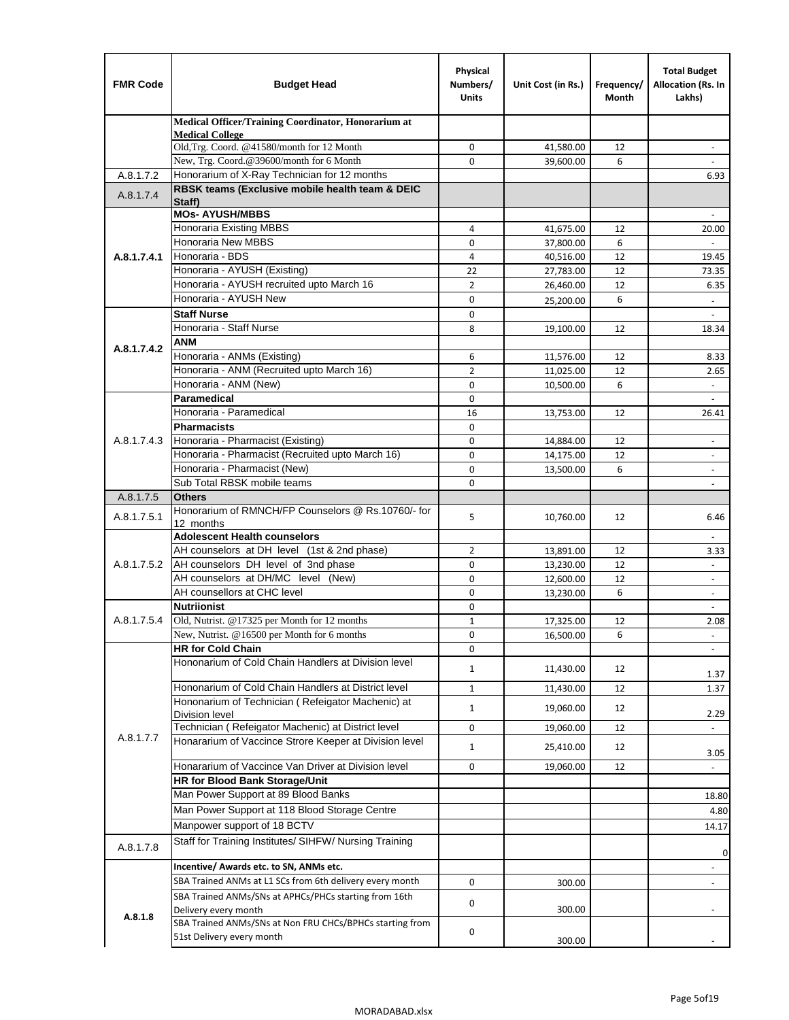| <b>FMR Code</b> | <b>Budget Head</b>                                                                                  | Physical<br>Numbers/<br><b>Units</b> | Unit Cost (in Rs.)     | Frequency/<br>Month | <b>Total Budget</b><br>Allocation (Rs. In<br>Lakhs) |
|-----------------|-----------------------------------------------------------------------------------------------------|--------------------------------------|------------------------|---------------------|-----------------------------------------------------|
|                 | Medical Officer/Training Coordinator, Honorarium at                                                 |                                      |                        |                     |                                                     |
|                 | <b>Medical College</b><br>Old, Trg. Coord. @41580/month for 12 Month                                | 0                                    | 41,580.00              | 12                  | $\overline{\phantom{m}}$                            |
|                 | New, Trg. Coord.@39600/month for 6 Month                                                            | $\Omega$                             | 39,600.00              | 6                   |                                                     |
| A.8.1.7.2       | Honorarium of X-Ray Technician for 12 months                                                        |                                      |                        |                     | 6.93                                                |
| A.8.1.7.4       | RBSK teams (Exclusive mobile health team & DEIC<br>Staff)                                           |                                      |                        |                     |                                                     |
|                 | <b>MOs-AYUSH/MBBS</b>                                                                               |                                      |                        |                     |                                                     |
|                 | Honoraria Existing MBBS                                                                             | 4                                    | 41,675.00              | 12                  | 20.00                                               |
|                 | <b>Honoraria New MBBS</b><br>Honoraria - BDS                                                        | 0                                    | 37,800.00              | 6                   | ÷,                                                  |
| A.8.1.7.4.1     | Honoraria - AYUSH (Existing)                                                                        | 4<br>22                              | 40,516.00<br>27,783.00 | 12<br>12            | 19.45<br>73.35                                      |
|                 | Honoraria - AYUSH recruited upto March 16                                                           | $\overline{2}$                       | 26,460.00              | 12                  | 6.35                                                |
|                 | Honoraria - AYUSH New                                                                               | $\mathbf 0$                          | 25,200.00              | 6                   | $\overline{\phantom{a}}$                            |
|                 | <b>Staff Nurse</b>                                                                                  | $\Omega$                             |                        |                     |                                                     |
|                 | Honoraria - Staff Nurse                                                                             | 8                                    | 19,100.00              | 12                  | 18.34                                               |
|                 | <b>ANM</b>                                                                                          |                                      |                        |                     |                                                     |
| A.8.1.7.4.2     | Honoraria - ANMs (Existing)                                                                         | 6                                    | 11,576.00              | 12                  | 8.33                                                |
|                 | Honoraria - ANM (Recruited upto March 16)                                                           | $\overline{2}$                       | 11,025.00              | 12                  | 2.65                                                |
|                 | Honoraria - ANM (New)                                                                               | $\mathbf 0$                          | 10,500.00              | 6                   |                                                     |
|                 | Paramedical                                                                                         | $\mathbf 0$                          |                        |                     | $\blacksquare$                                      |
|                 | Honoraria - Paramedical                                                                             | 16                                   | 13,753.00              | 12                  | 26.41                                               |
|                 | <b>Pharmacists</b>                                                                                  | $\mathbf 0$                          |                        |                     |                                                     |
| A.8.1.7.4.3     | Honoraria - Pharmacist (Existing)                                                                   | $\mathbf 0$                          | 14,884.00              | 12                  | $\overline{\phantom{a}}$                            |
|                 | Honoraria - Pharmacist (Recruited upto March 16)<br>Honoraria - Pharmacist (New)                    | 0<br>$\Omega$                        | 14,175.00              | 12<br>6             | $\overline{\phantom{a}}$                            |
|                 | Sub Total RBSK mobile teams                                                                         | $\Omega$                             | 13,500.00              |                     | ÷.                                                  |
| A.8.1.7.5       | <b>Others</b>                                                                                       |                                      |                        |                     |                                                     |
| A.8.1.7.5.1     | Honorarium of RMNCH/FP Counselors @ Rs.10760/- for<br>12 months                                     | 5                                    | 10,760.00              | 12                  | 6.46                                                |
|                 | <b>Adolescent Health counselors</b>                                                                 |                                      |                        |                     | $\overline{\phantom{a}}$                            |
|                 | AH counselors at DH level (1st & 2nd phase)                                                         | 2                                    | 13,891.00              | 12                  | 3.33                                                |
| A.8.1.7.5.2     | AH counselors DH level of 3nd phase                                                                 | $\mathbf 0$                          | 13,230.00              | 12                  | $\blacksquare$                                      |
|                 | AH counselors at DH/MC level (New)                                                                  | 0                                    | 12,600.00              | 12                  | $\overline{\phantom{a}}$                            |
|                 | AH counsellors at CHC level                                                                         | $\mathbf 0$                          | 13,230.00              | 6                   | $\blacksquare$                                      |
|                 | <b>Nutriionist</b>                                                                                  | $\mathbf 0$                          |                        |                     | $\overline{\phantom{a}}$                            |
| A.8.1.7.5.4     | Old, Nutrist. @17325 per Month for 12 months                                                        | $\mathbf{1}$                         | 17,325.00              | 12                  | 2.08                                                |
|                 | New, Nutrist. $@16500$ per Month for 6 months<br><b>HR for Cold Chain</b>                           | 0<br>0                               | 16,500.00              | 6                   | -                                                   |
|                 | Hononarium of Cold Chain Handlers at Division level                                                 | 1                                    | 11,430.00              | 12                  | 1.37                                                |
|                 | Hononarium of Cold Chain Handlers at District level                                                 | $\mathbf{1}$                         | 11,430.00              | 12                  | 1.37                                                |
|                 | Hononarium of Technician (Refeigator Machenic) at                                                   | $\mathbf{1}$                         | 19,060.00              | 12                  |                                                     |
|                 | <b>Division level</b>                                                                               |                                      |                        |                     | 2.29                                                |
| A.8.1.7.7       | Technician (Refeigator Machenic) at District level                                                  | 0                                    | 19,060.00              | 12                  | $\overline{\phantom{a}}$                            |
|                 | Honararium of Vaccince Strore Keeper at Division level                                              | $\mathbf{1}$                         | 25,410.00              | 12                  | 3.05                                                |
|                 | Honararium of Vaccince Van Driver at Division level                                                 | 0                                    | 19,060.00              | 12                  |                                                     |
|                 | HR for Blood Bank Storage/Unit<br>Man Power Support at 89 Blood Banks                               |                                      |                        |                     |                                                     |
|                 | Man Power Support at 118 Blood Storage Centre                                                       |                                      |                        |                     | 18.80                                               |
|                 | Manpower support of 18 BCTV                                                                         |                                      |                        |                     | 4.80                                                |
|                 | Staff for Training Institutes/ SIHFW/ Nursing Training                                              |                                      |                        |                     | 14.17                                               |
| A.8.1.7.8       |                                                                                                     |                                      |                        |                     | $\mathbf{0}$                                        |
|                 | Incentive/ Awards etc. to SN, ANMs etc.<br>SBA Trained ANMs at L1 SCs from 6th delivery every month |                                      |                        |                     | $\overline{\phantom{m}}$                            |
|                 |                                                                                                     | 0                                    | 300.00                 |                     | $\frac{1}{2}$                                       |
| A.8.1.8         | SBA Trained ANMs/SNs at APHCs/PHCs starting from 16th<br>Delivery every month                       | 0                                    | 300.00                 |                     |                                                     |
|                 | SBA Trained ANMs/SNs at Non FRU CHCs/BPHCs starting from<br>51st Delivery every month               | 0                                    | 300.00                 |                     |                                                     |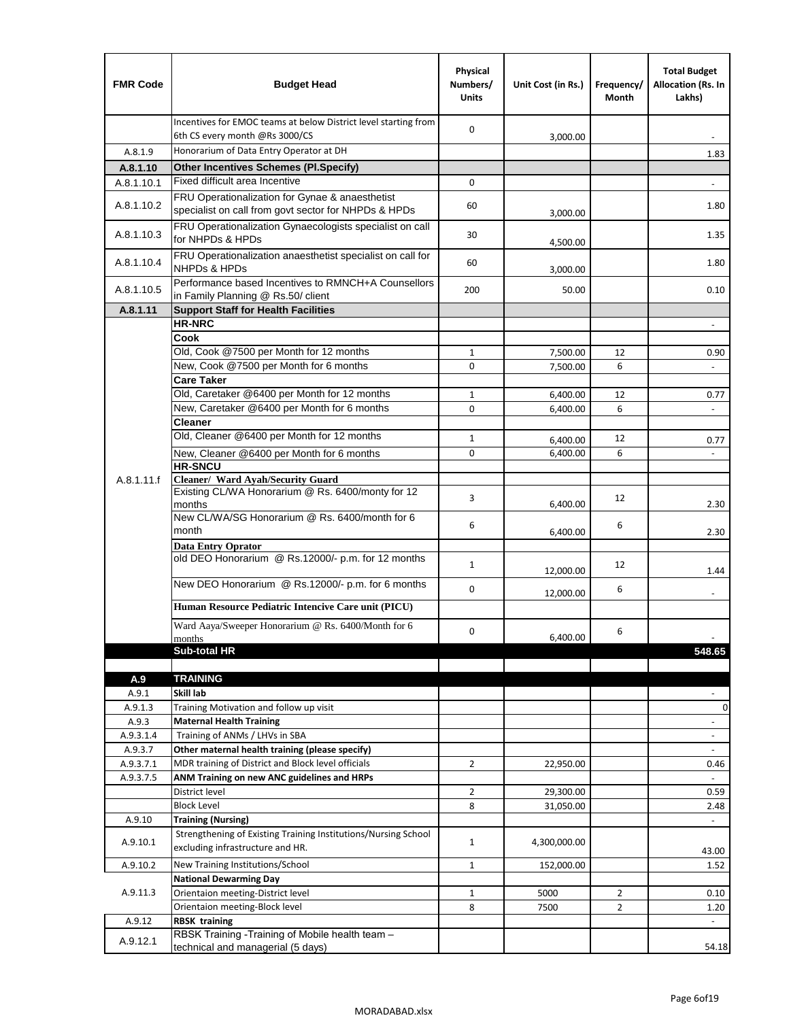| <b>FMR Code</b>    | <b>Budget Head</b>                                                                                      | Physical<br>Numbers/<br><b>Units</b> | Unit Cost (in Rs.) | Frequency/<br>Month | <b>Total Budget</b><br>Allocation (Rs. In<br>Lakhs) |
|--------------------|---------------------------------------------------------------------------------------------------------|--------------------------------------|--------------------|---------------------|-----------------------------------------------------|
|                    | Incentives for EMOC teams at below District level starting from<br>6th CS every month @Rs 3000/CS       | $\mathbf 0$                          | 3,000.00           |                     |                                                     |
| A.8.1.9            | Honorarium of Data Entry Operator at DH                                                                 |                                      |                    |                     | 1.83                                                |
| A.8.1.10           | <b>Other Incentives Schemes (Pl.Specify)</b>                                                            |                                      |                    |                     |                                                     |
| A.8.1.10.1         | Fixed difficult area Incentive                                                                          | $\mathbf 0$                          |                    |                     |                                                     |
| A.8.1.10.2         | FRU Operationalization for Gynae & anaesthetist<br>specialist on call from govt sector for NHPDs & HPDs | 60                                   | 3,000.00           |                     | 1.80                                                |
| A.8.1.10.3         | FRU Operationalization Gynaecologists specialist on call<br>for NHPDs & HPDs                            | 30                                   | 4,500.00           |                     | 1.35                                                |
| A.8.1.10.4         | FRU Operationalization anaesthetist specialist on call for<br><b>NHPDs &amp; HPDs</b>                   | 60                                   | 3,000.00           |                     | 1.80                                                |
| A.8.1.10.5         | Performance based Incentives to RMNCH+A Counsellors<br>in Family Planning @ Rs.50/ client               | 200                                  | 50.00              |                     | 0.10                                                |
| A.8.1.11           | <b>Support Staff for Health Facilities</b>                                                              |                                      |                    |                     |                                                     |
|                    | <b>HR-NRC</b>                                                                                           |                                      |                    |                     | $\qquad \qquad \blacksquare$                        |
|                    | Cook<br>Old, Cook @7500 per Month for 12 months                                                         | $\mathbf{1}$                         | 7,500.00           | 12                  | 0.90                                                |
|                    | New, Cook @7500 per Month for 6 months                                                                  | 0                                    | 7,500.00           | 6                   | $\Box$                                              |
|                    | <b>Care Taker</b>                                                                                       |                                      |                    |                     |                                                     |
|                    | Old, Caretaker @6400 per Month for 12 months                                                            | $\mathbf{1}$                         | 6,400.00           | 12                  | 0.77                                                |
|                    | New, Caretaker @6400 per Month for 6 months                                                             | 0                                    | 6,400.00           | 6                   | ÷,                                                  |
|                    | <b>Cleaner</b>                                                                                          |                                      |                    |                     |                                                     |
|                    | Old, Cleaner @6400 per Month for 12 months                                                              | $\mathbf{1}$                         | 6,400.00           | 12                  | 0.77                                                |
|                    | New, Cleaner @6400 per Month for 6 months<br><b>HR-SNCU</b>                                             | $\mathbf 0$                          | 6,400.00           | 6                   |                                                     |
| A.8.1.11.f         | Cleaner/ Ward Ayah/Security Guard                                                                       |                                      |                    |                     |                                                     |
|                    | Existing CL/WA Honorarium @ Rs. 6400/monty for 12<br>months                                             | 3                                    | 6,400.00           | 12                  | 2.30                                                |
|                    | New CL/WA/SG Honorarium @ Rs. 6400/month for 6<br>month                                                 | 6                                    | 6,400.00           | 6                   | 2.30                                                |
|                    | <b>Data Entry Oprator</b>                                                                               |                                      |                    |                     |                                                     |
|                    | old DEO Honorarium @ Rs.12000/- p.m. for 12 months                                                      | $\mathbf{1}$                         | 12,000.00          | 12                  | 1.44                                                |
|                    | New DEO Honorarium @ Rs.12000/- p.m. for 6 months                                                       | 0                                    | 12,000.00          | 6                   |                                                     |
|                    | Human Resource Pediatric Intencive Care unit (PICU)                                                     |                                      |                    |                     |                                                     |
|                    | Ward Aaya/Sweeper Honorarium @ Rs. 6400/Month for 6                                                     | 0                                    |                    | 6                   |                                                     |
|                    | months                                                                                                  |                                      | 6,400.00           |                     |                                                     |
|                    | Sub-total HR                                                                                            |                                      |                    |                     | 548.65                                              |
| A.9                | <b>TRAINING</b>                                                                                         |                                      |                    |                     |                                                     |
| A.9.1              | Skill lab                                                                                               |                                      |                    |                     |                                                     |
| A.9.1.3            | Training Motivation and follow up visit                                                                 |                                      |                    |                     | 0                                                   |
| A.9.3              | <b>Maternal Health Training</b>                                                                         |                                      |                    |                     | $\blacksquare$                                      |
| A.9.3.1.4          | Training of ANMs / LHVs in SBA                                                                          |                                      |                    |                     | $\overline{\phantom{a}}$                            |
| A.9.3.7            | Other maternal health training (please specify)                                                         |                                      |                    |                     |                                                     |
| A.9.3.7.1          | MDR training of District and Block level officials                                                      | $\overline{2}$                       | 22,950.00          |                     | 0.46                                                |
| A.9.3.7.5          | ANM Training on new ANC guidelines and HRPs                                                             |                                      |                    |                     |                                                     |
|                    | District level                                                                                          | $\overline{2}$                       | 29,300.00          |                     | 0.59                                                |
|                    | <b>Block Level</b>                                                                                      | 8                                    | 31,050.00          |                     | 2.48                                                |
| A.9.10<br>A.9.10.1 | <b>Training (Nursing)</b><br>Strengthening of Existing Training Institutions/Nursing School             | $\mathbf{1}$                         | 4,300,000.00       |                     | $\blacksquare$                                      |
|                    | excluding infrastructure and HR.                                                                        |                                      |                    |                     | 43.00                                               |
| A.9.10.2           | New Training Institutions/School                                                                        | $\mathbf{1}$                         | 152,000.00         |                     | 1.52                                                |
|                    | <b>National Dewarming Day</b>                                                                           |                                      |                    |                     |                                                     |
| A.9.11.3           | Orientaion meeting-District level                                                                       | $\mathbf 1$                          | 5000               | $\overline{2}$      | 0.10                                                |
|                    | Orientaion meeting-Block level                                                                          | 8                                    | 7500               | $\overline{2}$      | 1.20                                                |
| A.9.12             | <b>RBSK training</b><br>RBSK Training -Training of Mobile health team -                                 |                                      |                    |                     |                                                     |
| A.9.12.1           | technical and managerial (5 days)                                                                       |                                      |                    |                     | 54.18                                               |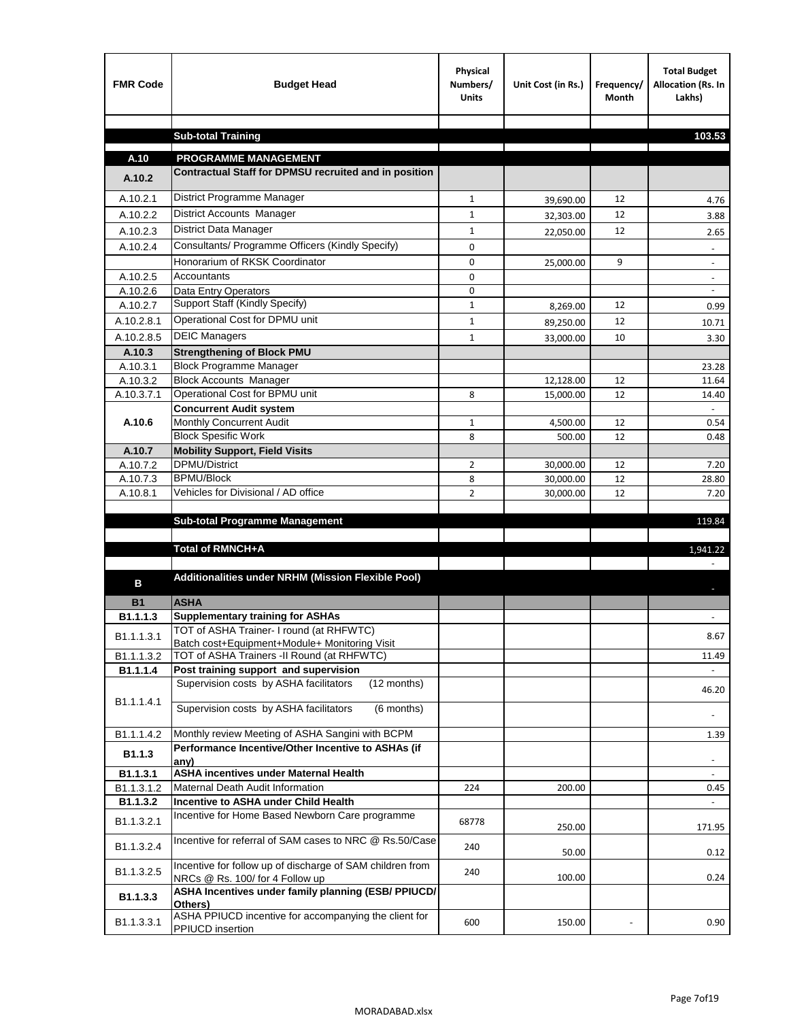| <b>FMR Code</b>        | <b>Budget Head</b>                                                                        | Physical<br>Numbers/<br><b>Units</b> | Unit Cost (in Rs.) | Frequency/<br><b>Month</b> | <b>Total Budget</b><br>Allocation (Rs. In<br>Lakhs) |
|------------------------|-------------------------------------------------------------------------------------------|--------------------------------------|--------------------|----------------------------|-----------------------------------------------------|
|                        |                                                                                           |                                      |                    |                            |                                                     |
|                        | <b>Sub-total Training</b>                                                                 |                                      |                    |                            | 103.53                                              |
| A.10                   | <b>PROGRAMME MANAGEMENT</b>                                                               |                                      |                    |                            |                                                     |
| A.10.2                 | Contractual Staff for DPMSU recruited and in position                                     |                                      |                    |                            |                                                     |
| A.10.2.1               | District Programme Manager                                                                | $\mathbf{1}$                         | 39,690.00          | 12                         | 4.76                                                |
| A.10.2.2               | District Accounts Manager                                                                 | 1                                    | 32,303.00          | 12                         | 3.88                                                |
| A.10.2.3               | District Data Manager                                                                     | $\mathbf{1}$                         |                    | 12                         |                                                     |
| A.10.2.4               | Consultants/ Programme Officers (Kindly Specify)                                          | $\mathbf 0$                          | 22,050.00          |                            | 2.65                                                |
|                        | Honorarium of RKSK Coordinator                                                            | 0                                    | 25,000.00          | 9                          | $\overline{\phantom{a}}$                            |
| A.10.2.5               | Accountants                                                                               | 0                                    |                    |                            |                                                     |
| A.10.2.6               | Data Entry Operators                                                                      | 0                                    |                    |                            | $\overline{\phantom{a}}$                            |
| A.10.2.7               | Support Staff (Kindly Specify)                                                            | $\mathbf{1}$                         | 8,269.00           | 12                         | 0.99                                                |
| A.10.2.8.1             | Operational Cost for DPMU unit                                                            | $\mathbf{1}$                         | 89,250.00          | 12                         | 10.71                                               |
| A.10.2.8.5             | <b>DEIC Managers</b>                                                                      | $\mathbf{1}$                         | 33,000.00          | 10                         | 3.30                                                |
| A.10.3                 | <b>Strengthening of Block PMU</b>                                                         |                                      |                    |                            |                                                     |
| A.10.3.1               | <b>Block Programme Manager</b>                                                            |                                      |                    |                            | 23.28                                               |
| A.10.3.2               | <b>Block Accounts Manager</b>                                                             |                                      | 12,128.00          | 12                         | 11.64                                               |
| A.10.3.7.1             | Operational Cost for BPMU unit                                                            | 8                                    | 15,000.00          | 12                         | 14.40                                               |
|                        | <b>Concurrent Audit system</b>                                                            |                                      |                    |                            |                                                     |
| A.10.6                 | Monthly Concurrent Audit<br><b>Block Spesific Work</b>                                    | $\mathbf{1}$<br>8                    | 4,500.00           | 12<br>12                   | 0.54<br>0.48                                        |
| A.10.7                 | <b>Mobility Support, Field Visits</b>                                                     |                                      | 500.00             |                            |                                                     |
| A.10.7.2               | <b>DPMU/District</b>                                                                      | 2                                    | 30,000.00          | 12                         | 7.20                                                |
| A.10.7.3               | <b>BPMU/Block</b>                                                                         | 8                                    | 30,000.00          | 12                         | 28.80                                               |
| A.10.8.1               | Vehicles for Divisional / AD office                                                       | $\overline{2}$                       | 30,000.00          | 12                         | 7.20                                                |
|                        |                                                                                           |                                      |                    |                            |                                                     |
|                        | <b>Sub-total Programme Management</b>                                                     |                                      |                    |                            | 119.84                                              |
|                        |                                                                                           |                                      |                    |                            |                                                     |
|                        | Total of RMNCH+A                                                                          |                                      |                    |                            | 1,941.22                                            |
|                        | Additionalities under NRHM (Mission Flexible Pool)                                        |                                      |                    |                            |                                                     |
| в                      |                                                                                           |                                      |                    |                            |                                                     |
| <b>B1</b>              | <b>ASHA</b>                                                                               |                                      |                    |                            |                                                     |
| B1.1.1.3               | <b>Supplementary training for ASHAs</b>                                                   |                                      |                    |                            |                                                     |
| B1.1.1.3.1             | TOT of ASHA Trainer- I round (at RHFWTC)<br>Batch cost+Equipment+Module+ Monitoring Visit |                                      |                    |                            | 8.67                                                |
| B1.1.1.3.2             | TOT of ASHA Trainers -II Round (at RHFWTC)                                                |                                      |                    |                            | 11.49                                               |
| B1.1.1.4               | Post training support and supervision                                                     |                                      |                    |                            | $\omega$                                            |
|                        | Supervision costs by ASHA facilitators<br>(12 months)                                     |                                      |                    |                            | 46.20                                               |
| B1.1.1.4.1             |                                                                                           |                                      |                    |                            |                                                     |
|                        | Supervision costs by ASHA facilitators<br>(6 months)                                      |                                      |                    |                            |                                                     |
| B1.1.1.4.2             | Monthly review Meeting of ASHA Sangini with BCPM                                          |                                      |                    |                            | 1.39                                                |
| B <sub>1.1.3</sub>     | Performance Incentive/Other Incentive to ASHAs (if                                        |                                      |                    |                            |                                                     |
|                        | any)                                                                                      |                                      |                    |                            |                                                     |
| B1.1.3.1               | <b>ASHA incentives under Maternal Health</b><br>Maternal Death Audit Information          |                                      |                    |                            |                                                     |
| B1.1.3.1.2<br>B1.1.3.2 | Incentive to ASHA under Child Health                                                      | 224                                  | 200.00             |                            | 0.45<br>÷.                                          |
|                        | Incentive for Home Based Newborn Care programme                                           |                                      |                    |                            |                                                     |
| B1.1.3.2.1             |                                                                                           | 68778                                | 250.00             |                            | 171.95                                              |
| B1.1.3.2.4             | Incentive for referral of SAM cases to NRC @ Rs.50/Case                                   | 240                                  |                    |                            |                                                     |
|                        | Incentive for follow up of discharge of SAM children from                                 |                                      | 50.00              |                            | 0.12                                                |
| B1.1.3.2.5             | NRCs @ Rs. 100/ for 4 Follow up                                                           | 240                                  | 100.00             |                            | 0.24                                                |
|                        | ASHA Incentives under family planning (ESB/ PPIUCD/                                       |                                      |                    |                            |                                                     |
| B1.1.3.3               | Others)                                                                                   |                                      |                    |                            |                                                     |
| B1.1.3.3.1             | ASHA PPIUCD incentive for accompanying the client for<br>PPIUCD insertion                 | 600                                  | 150.00             |                            | 0.90                                                |
|                        |                                                                                           |                                      |                    |                            |                                                     |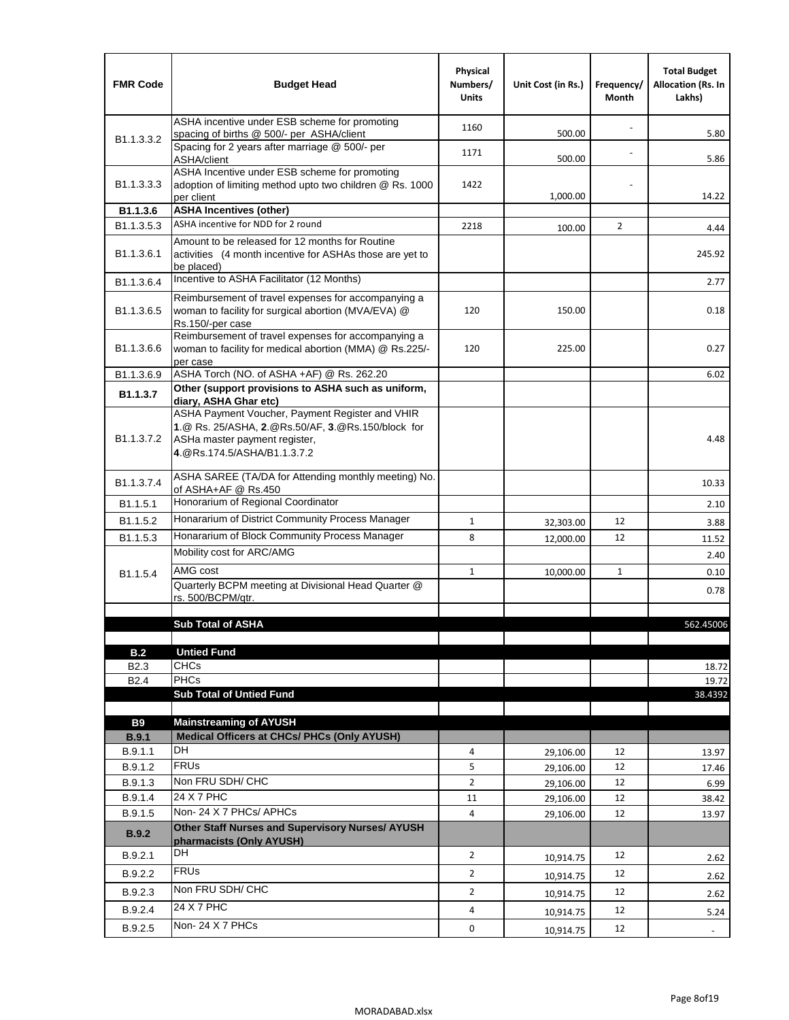| <b>FMR Code</b>            | <b>Budget Head</b>                                                                                                                                                    | Physical<br>Numbers/<br><b>Units</b> | Unit Cost (in Rs.) | Frequency/<br>Month | <b>Total Budget</b><br><b>Allocation (Rs. In</b><br>Lakhs) |
|----------------------------|-----------------------------------------------------------------------------------------------------------------------------------------------------------------------|--------------------------------------|--------------------|---------------------|------------------------------------------------------------|
|                            | ASHA incentive under ESB scheme for promoting<br>spacing of births @ 500/- per ASHA/client                                                                            | 1160                                 | 500.00             |                     | 5.80                                                       |
| B <sub>1.1</sub> , 3, 3, 2 | Spacing for 2 years after marriage @ 500/- per<br>ASHA/client                                                                                                         | 1171                                 | 500.00             |                     | 5.86                                                       |
| B1.1.3.3.3                 | ASHA Incentive under ESB scheme for promoting<br>adoption of limiting method upto two children @ Rs. 1000<br>per client                                               | 1422                                 | 1,000.00           |                     | 14.22                                                      |
| B1.1.3.6                   | <b>ASHA Incentives (other)</b>                                                                                                                                        |                                      |                    |                     |                                                            |
| B <sub>1.1</sub> , 3, 5, 3 | ASHA incentive for NDD for 2 round                                                                                                                                    | 2218                                 | 100.00             | $\overline{2}$      | 4.44                                                       |
| B <sub>1.1</sub> .3.6.1    | Amount to be released for 12 months for Routine<br>activities (4 month incentive for ASHAs those are yet to<br>be placed)                                             |                                      |                    |                     | 245.92                                                     |
| B1.1.3.6.4                 | Incentive to ASHA Facilitator (12 Months)                                                                                                                             |                                      |                    |                     | 2.77                                                       |
| B <sub>1.1</sub> .3.6.5    | Reimbursement of travel expenses for accompanying a<br>woman to facility for surgical abortion (MVA/EVA) @<br>Rs.150/-per case                                        | 120                                  | 150.00             |                     | 0.18                                                       |
| B <sub>1.1</sub> .3.6.6    | Reimbursement of travel expenses for accompanying a<br>woman to facility for medical abortion (MMA) @ Rs.225/-<br>per case                                            | 120                                  | 225.00             |                     | 0.27                                                       |
| B1.1.3.6.9                 | ASHA Torch (NO. of ASHA +AF) @ Rs. 262.20                                                                                                                             |                                      |                    |                     | 6.02                                                       |
| B1.1.3.7                   | Other (support provisions to ASHA such as uniform,<br>diary, ASHA Ghar etc)                                                                                           |                                      |                    |                     |                                                            |
| B <sub>1.1</sub> .3.7.2    | ASHA Payment Voucher, Payment Register and VHIR<br>1.@ Rs. 25/ASHA, 2.@Rs.50/AF, 3.@Rs.150/block for<br>ASHa master payment register,<br>4. @Rs.174.5/ASHA/B1.1.3.7.2 |                                      |                    |                     | 4.48                                                       |
| B <sub>1.1</sub> , 3.7.4   | ASHA SAREE (TA/DA for Attending monthly meeting) No.<br>of ASHA+AF @ Rs.450                                                                                           |                                      |                    |                     | 10.33                                                      |
| B <sub>1.1</sub> .5.1      | Honorarium of Regional Coordinator                                                                                                                                    |                                      |                    |                     | 2.10                                                       |
| B <sub>1.1.5.2</sub>       | Honararium of District Community Process Manager                                                                                                                      | $\mathbf{1}$                         | 32,303.00          | 12                  | 3.88                                                       |
| B1.1.5.3                   | Honararium of Block Community Process Manager                                                                                                                         | 8                                    | 12,000.00          | 12                  | 11.52                                                      |
|                            | Mobility cost for ARC/AMG                                                                                                                                             |                                      |                    |                     | 2.40                                                       |
| B <sub>1.1.5.4</sub>       | AMG cost                                                                                                                                                              | $\mathbf{1}$                         | 10,000.00          | $\mathbf{1}$        | 0.10                                                       |
|                            | Quarterly BCPM meeting at Divisional Head Quarter @                                                                                                                   |                                      |                    |                     | 0.78                                                       |
|                            | rs. 500/BCPM/atr.                                                                                                                                                     |                                      |                    |                     |                                                            |
|                            | <b>Sub Total of ASHA</b>                                                                                                                                              |                                      |                    |                     |                                                            |
|                            |                                                                                                                                                                       |                                      |                    |                     | 562.45006                                                  |
| B.2                        | <b>Untied Fund</b>                                                                                                                                                    |                                      |                    |                     |                                                            |
| B <sub>2.3</sub>           | <b>CHCs</b>                                                                                                                                                           |                                      |                    |                     | 18.72                                                      |
| B <sub>2.4</sub>           | <b>PHCs</b>                                                                                                                                                           |                                      |                    |                     | 19.72                                                      |
|                            | <b>Sub Total of Untied Fund</b>                                                                                                                                       |                                      |                    |                     | 38.4392                                                    |
| <b>B9</b>                  | <b>Mainstreaming of AYUSH</b>                                                                                                                                         |                                      |                    |                     |                                                            |
| B.9.1                      | Medical Officers at CHCs/ PHCs (Only AYUSH)                                                                                                                           |                                      |                    |                     |                                                            |
| B.9.1.1                    | DH                                                                                                                                                                    | 4                                    | 29,106.00          | 12                  | 13.97                                                      |
| B.9.1.2                    | <b>FRU<sub>s</sub></b>                                                                                                                                                | 5                                    | 29,106.00          | 12                  | 17.46                                                      |
| B.9.1.3                    | Non FRU SDH/ CHC                                                                                                                                                      | $\overline{2}$                       | 29,106.00          | 12                  | 6.99                                                       |
| B.9.1.4                    | 24 X 7 PHC                                                                                                                                                            | 11                                   | 29,106.00          | 12                  | 38.42                                                      |
| B.9.1.5                    | Non-24 X 7 PHCs/ APHCs                                                                                                                                                | 4                                    | 29,106.00          | 12                  | 13.97                                                      |
| B.9.2                      | Other Staff Nurses and Supervisory Nurses/ AYUSH<br>pharmacists (Only AYUSH)                                                                                          |                                      |                    |                     |                                                            |
| B.9.2.1                    | DH                                                                                                                                                                    | $\overline{2}$                       | 10,914.75          | 12                  | 2.62                                                       |
| B.9.2.2                    | <b>FRUs</b>                                                                                                                                                           | $\overline{2}$                       | 10,914.75          | 12                  | 2.62                                                       |
| B.9.2.3                    | Non FRU SDH/ CHC                                                                                                                                                      | $\overline{2}$                       | 10,914.75          | 12                  | 2.62                                                       |
| B.9.2.4                    | 24 X 7 PHC                                                                                                                                                            | 4                                    |                    | 12                  |                                                            |
|                            | Non-24 X 7 PHCs                                                                                                                                                       |                                      | 10,914.75          |                     | 5.24                                                       |
| B.9.2.5                    |                                                                                                                                                                       | 0                                    | 10,914.75          | 12                  | $\blacksquare$                                             |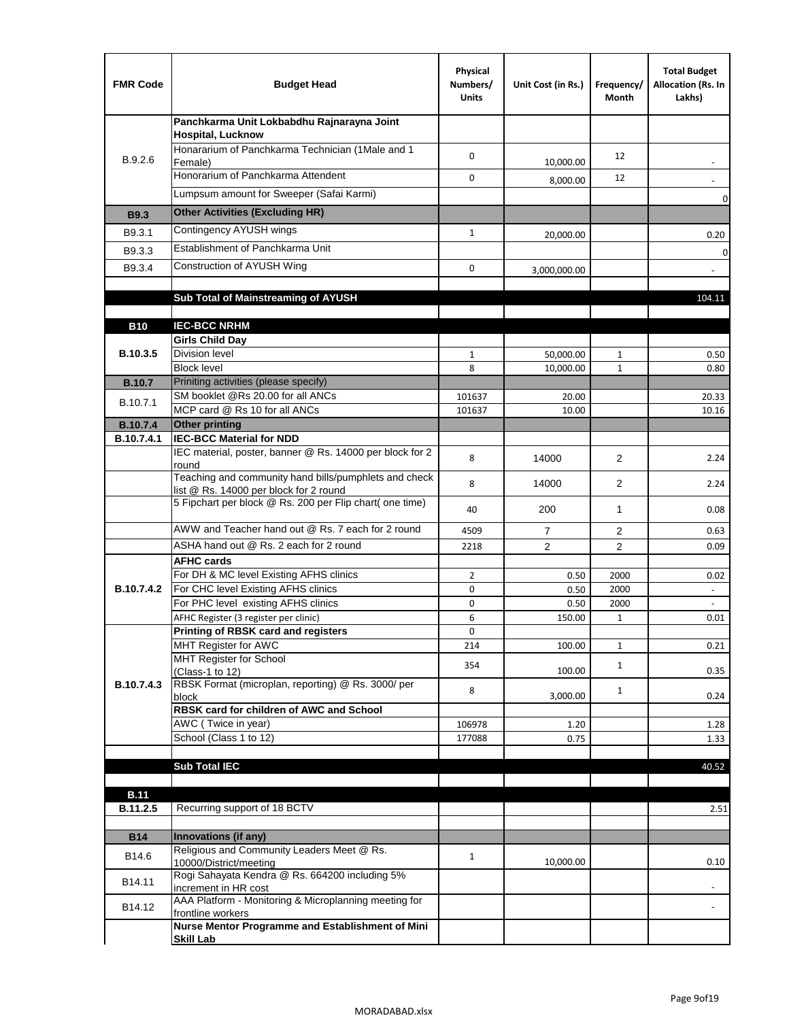| <b>FMR Code</b> | <b>Budget Head</b>                                                                              | Physical<br>Numbers/<br><b>Units</b> | Unit Cost (in Rs.) | Frequency/<br>Month | <b>Total Budget</b><br>Allocation (Rs. In<br>Lakhs) |
|-----------------|-------------------------------------------------------------------------------------------------|--------------------------------------|--------------------|---------------------|-----------------------------------------------------|
|                 | Panchkarma Unit Lokbabdhu Rajnarayna Joint<br><b>Hospital, Lucknow</b>                          |                                      |                    |                     |                                                     |
| B.9.2.6         | Honararium of Panchkarma Technician (1Male and 1<br>Female)                                     | $\mathbf 0$                          | 10,000.00          | 12                  |                                                     |
|                 | Honorarium of Panchkarma Attendent                                                              | 0                                    | 8,000.00           | 12                  |                                                     |
|                 | Lumpsum amount for Sweeper (Safai Karmi)                                                        |                                      |                    |                     | 0                                                   |
| <b>B9.3</b>     | <b>Other Activities (Excluding HR)</b>                                                          |                                      |                    |                     |                                                     |
| B9.3.1          | Contingency AYUSH wings                                                                         | $\mathbf{1}$                         | 20,000.00          |                     | 0.20                                                |
| B9.3.3          | Establishment of Panchkarma Unit                                                                |                                      |                    |                     | $\mathbf 0$                                         |
| B9.3.4          | Construction of AYUSH Wing                                                                      | 0                                    | 3,000,000.00       |                     |                                                     |
|                 |                                                                                                 |                                      |                    |                     |                                                     |
|                 | Sub Total of Mainstreaming of AYUSH                                                             |                                      |                    |                     | 104.11                                              |
|                 |                                                                                                 |                                      |                    |                     |                                                     |
| <b>B10</b>      | <b>IEC-BCC NRHM</b><br><b>Girls Child Day</b>                                                   |                                      |                    |                     |                                                     |
| B.10.3.5        | <b>Division level</b>                                                                           | $\mathbf{1}$                         | 50,000.00          | $\mathbf{1}$        | 0.50                                                |
|                 | <b>Block level</b>                                                                              | 8                                    | 10,000.00          | $\mathbf{1}$        | 0.80                                                |
| <b>B.10.7</b>   | Priniting activities (please specify)                                                           |                                      |                    |                     |                                                     |
| B.10.7.1        | SM booklet @Rs 20.00 for all ANCs<br>MCP card @ Rs 10 for all ANCs                              | 101637                               | 20.00              |                     | 20.33                                               |
| <b>B.10.7.4</b> | <b>Other printing</b>                                                                           | 101637                               | 10.00              |                     | 10.16                                               |
| B.10.7.4.1      | <b>IEC-BCC Material for NDD</b>                                                                 |                                      |                    |                     |                                                     |
|                 | IEC material, poster, banner @ Rs. 14000 per block for 2<br>round                               | 8                                    | 14000              | $\overline{2}$      | 2.24                                                |
|                 | Teaching and community hand bills/pumphlets and check<br>list @ Rs. 14000 per block for 2 round | 8                                    | 14000              | $\overline{2}$      | 2.24                                                |
|                 | 5 Fipchart per block @ Rs. 200 per Flip chart( one time)                                        | 40                                   | 200                | $\mathbf{1}$        | 0.08                                                |
|                 | AWW and Teacher hand out @ Rs. 7 each for 2 round                                               | 4509                                 | 7                  | 2                   | 0.63                                                |
|                 | ASHA hand out @ Rs. 2 each for 2 round                                                          | 2218                                 | 2                  | $\overline{2}$      | 0.09                                                |
|                 | <b>AFHC cards</b>                                                                               |                                      |                    |                     |                                                     |
| B.10.7.4.2      | For DH & MC level Existing AFHS clinics<br>For CHC level Existing AFHS clinics                  | $\overline{2}$<br>0                  | 0.50<br>0.50       | 2000<br>2000        | 0.02                                                |
|                 | For PHC level existing AFHS clinics                                                             | 0                                    | 0.50               | 2000                | $\blacksquare$                                      |
|                 | AFHC Register (3 register per clinic)                                                           | 6                                    | 150.00             | $\mathbf{1}$        | 0.01                                                |
|                 | <b>Printing of RBSK card and registers</b>                                                      | 0                                    |                    |                     |                                                     |
|                 | MHT Register for AWC                                                                            | 214                                  | 100.00             | $\mathbf{1}$        | 0.21                                                |
|                 | MHT Register for School                                                                         | 354                                  | 100.00             | $\mathbf{1}$        | 0.35                                                |
| B.10.7.4.3      | (Class-1 to 12)<br>RBSK Format (microplan, reporting) @ Rs. 3000/ per                           |                                      |                    |                     |                                                     |
|                 | block                                                                                           | 8                                    | 3,000.00           | $\mathbf{1}$        | 0.24                                                |
|                 | RBSK card for children of AWC and School                                                        |                                      |                    |                     |                                                     |
|                 | AWC (Twice in year)<br>School (Class 1 to 12)                                                   | 106978<br>177088                     | 1.20<br>0.75       |                     | 1.28<br>1.33                                        |
|                 |                                                                                                 |                                      |                    |                     |                                                     |
|                 | <b>Sub Total IEC</b>                                                                            |                                      |                    |                     | 40.52                                               |
|                 |                                                                                                 |                                      |                    |                     |                                                     |
| <b>B.11</b>     |                                                                                                 |                                      |                    |                     |                                                     |
| B.11.2.5        | Recurring support of 18 BCTV                                                                    |                                      |                    |                     | 2.51                                                |
| <b>B14</b>      | Innovations (if any)                                                                            |                                      |                    |                     |                                                     |
| B14.6           | Religious and Community Leaders Meet @ Rs.<br>10000/District/meeting                            | $\mathbf{1}$                         | 10,000.00          |                     | 0.10                                                |
| B14.11          | Rogi Sahayata Kendra @ Rs. 664200 including 5%                                                  |                                      |                    |                     |                                                     |
| B14.12          | increment in HR cost<br>AAA Platform - Monitoring & Microplanning meeting for                   |                                      |                    |                     |                                                     |
|                 | frontline workers<br>Nurse Mentor Programme and Establishment of Mini                           |                                      |                    |                     |                                                     |
|                 | <b>Skill Lab</b>                                                                                |                                      |                    |                     |                                                     |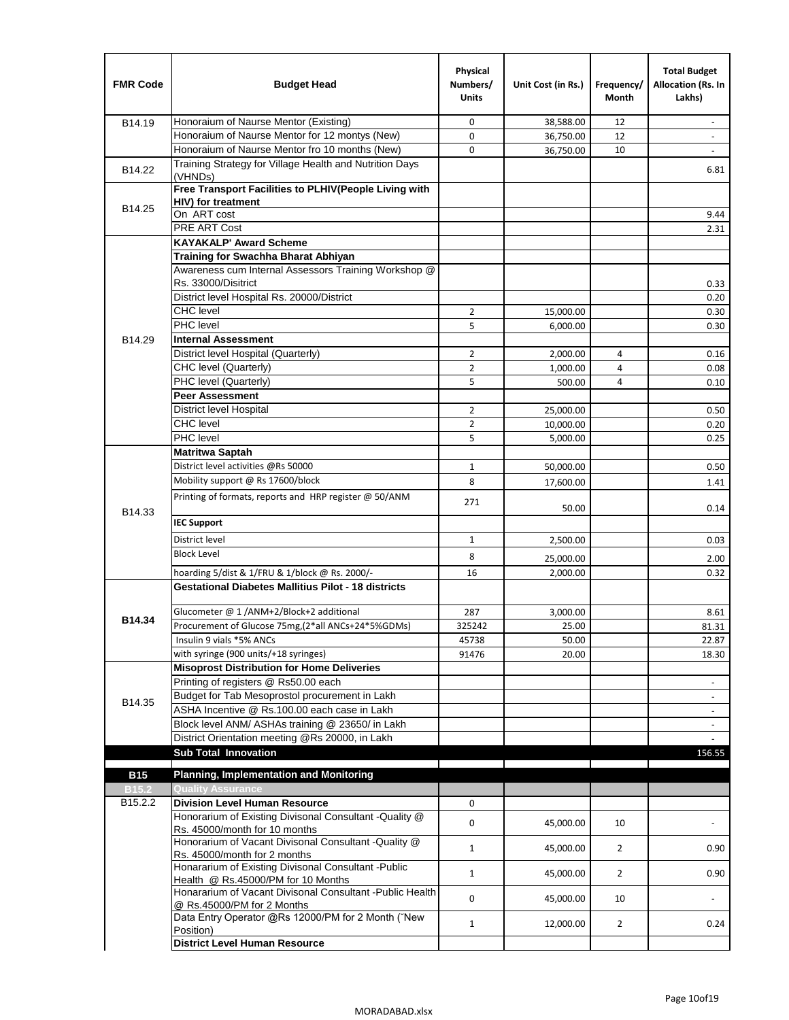| <b>FMR Code</b>   | <b>Budget Head</b>                                                                      | Physical<br>Numbers/<br><b>Units</b> | Unit Cost (in Rs.) | Frequency/<br>Month | <b>Total Budget</b><br>Allocation (Rs. In<br>Lakhs) |
|-------------------|-----------------------------------------------------------------------------------------|--------------------------------------|--------------------|---------------------|-----------------------------------------------------|
| B14.19            | Honoraium of Naurse Mentor (Existing)                                                   | 0                                    | 38,588.00          | 12                  | $\sim$                                              |
|                   | Honoraium of Naurse Mentor for 12 montys (New)                                          | 0                                    | 36,750.00          | 12                  |                                                     |
|                   | Honoraium of Naurse Mentor fro 10 months (New)                                          | 0                                    | 36,750.00          | 10                  | $\sim$                                              |
| B14.22            | Training Strategy for Village Health and Nutrition Days<br>(VHNDs)                      |                                      |                    |                     | 6.81                                                |
|                   | Free Transport Facilities to PLHIV(People Living with                                   |                                      |                    |                     |                                                     |
| B14.25            | <b>HIV)</b> for treatment                                                               |                                      |                    |                     |                                                     |
|                   | On ART cost                                                                             |                                      |                    |                     | 9.44                                                |
|                   | PRE ART Cost                                                                            |                                      |                    |                     | 2.31                                                |
|                   | <b>KAYAKALP' Award Scheme</b>                                                           |                                      |                    |                     |                                                     |
|                   | Training for Swachha Bharat Abhiyan                                                     |                                      |                    |                     |                                                     |
|                   | Awareness cum Internal Assessors Training Workshop @<br>Rs. 33000/Disitrict             |                                      |                    |                     | 0.33                                                |
|                   | District level Hospital Rs. 20000/District                                              |                                      |                    |                     | 0.20                                                |
|                   | <b>CHC</b> level                                                                        | $\overline{2}$                       | 15,000.00          |                     | 0.30                                                |
|                   | <b>PHC</b> level                                                                        | 5                                    | 6,000.00           |                     | 0.30                                                |
| B14.29            | <b>Internal Assessment</b>                                                              |                                      |                    |                     |                                                     |
|                   | District level Hospital (Quarterly)                                                     | 2                                    | 2,000.00           | 4                   | 0.16                                                |
|                   | CHC level (Quarterly)                                                                   | $\overline{2}$                       | 1,000.00           | 4                   | 0.08                                                |
|                   | PHC level (Quarterly)                                                                   | 5                                    | 500.00             | 4                   | 0.10                                                |
|                   | <b>Peer Assessment</b>                                                                  |                                      |                    |                     |                                                     |
|                   | <b>District level Hospital</b>                                                          | 2                                    | 25.000.00          |                     | 0.50                                                |
|                   | <b>CHC</b> level                                                                        | $\overline{2}$                       | 10,000.00          |                     | 0.20                                                |
|                   | PHC level                                                                               | 5                                    | 5,000.00           |                     | 0.25                                                |
|                   | Matritwa Saptah                                                                         |                                      |                    |                     |                                                     |
|                   | District level activities @Rs 50000                                                     | $\mathbf{1}$                         | 50,000.00          |                     | 0.50                                                |
|                   | Mobility support @ Rs 17600/block                                                       | 8                                    | 17,600.00          |                     | 1.41                                                |
|                   | Printing of formats, reports and HRP register @ 50/ANM                                  |                                      |                    |                     |                                                     |
| B14.33            |                                                                                         | 271                                  | 50.00              |                     | 0.14                                                |
|                   | <b>IEC Support</b>                                                                      |                                      |                    |                     |                                                     |
|                   | District level                                                                          | 1                                    | 2,500.00           |                     | 0.03                                                |
|                   | <b>Block Level</b>                                                                      | 8                                    | 25,000.00          |                     | 2.00                                                |
|                   | hoarding 5/dist & 1/FRU & 1/block @ Rs. 2000/-                                          | 16                                   | 2,000.00           |                     | 0.32                                                |
|                   | <b>Gestational Diabetes Mallitius Pilot - 18 districts</b>                              |                                      |                    |                     |                                                     |
|                   | Glucometer @ 1 /ANM+2/Block+2 additional                                                | 287                                  | 3.000.00           |                     | 8.61                                                |
| B14.34            | Procurement of Glucose 75mg, (2*all ANCs+24*5%GDMs)                                     | 325242                               | 25.00              |                     | 81.31                                               |
|                   | Insulin 9 vials *5% ANCs                                                                | 45738                                | 50.00              |                     | 22.87                                               |
|                   | with syringe (900 units/+18 syringes)                                                   | 91476                                | 20.00              |                     | 18.30                                               |
|                   | <b>Misoprost Distribution for Home Deliveries</b>                                       |                                      |                    |                     |                                                     |
|                   | Printing of registers @ Rs50.00 each                                                    |                                      |                    |                     | $\overline{\phantom{a}}$                            |
|                   | Budget for Tab Mesoprostol procurement in Lakh                                          |                                      |                    |                     |                                                     |
| B14.35            | ASHA Incentive @ Rs.100.00 each case in Lakh                                            |                                      |                    |                     | $\overline{\phantom{a}}$                            |
|                   | Block level ANM/ ASHAs training @ 23650/ in Lakh                                        |                                      |                    |                     | $\overline{\phantom{a}}$                            |
|                   | District Orientation meeting @Rs 20000, in Lakh                                         |                                      |                    |                     |                                                     |
|                   | <b>Sub Total Innovation</b>                                                             |                                      |                    |                     | 156.55                                              |
| <b>B15</b>        | <b>Planning, Implementation and Monitoring</b>                                          |                                      |                    |                     |                                                     |
| B <sub>15.2</sub> | <b>Quality Assurance</b>                                                                |                                      |                    |                     |                                                     |
| B15.2.2           | <b>Division Level Human Resource</b>                                                    | 0                                    |                    |                     |                                                     |
|                   | Honorarium of Existing Divisonal Consultant -Quality @                                  |                                      |                    |                     |                                                     |
|                   | Rs. 45000/month for 10 months                                                           | 0                                    | 45,000.00          | 10                  |                                                     |
|                   | Honorarium of Vacant Divisonal Consultant -Quality @<br>Rs. 45000/month for 2 months    | 1                                    | 45,000.00          | $\overline{2}$      | 0.90                                                |
|                   | Honararium of Existing Divisonal Consultant - Public                                    | $\mathbf{1}$                         | 45,000.00          | $\overline{2}$      | 0.90                                                |
|                   | Health @ Rs.45000/PM for 10 Months                                                      |                                      |                    |                     |                                                     |
|                   | Honararium of Vacant Divisonal Consultant - Public Health<br>@ Rs.45000/PM for 2 Months | 0                                    | 45,000.00          | 10                  | $\blacksquare$                                      |
|                   | Data Entry Operator @Rs 12000/PM for 2 Month ("New                                      | $\mathbf{1}$                         | 12,000.00          | $\overline{2}$      | 0.24                                                |
|                   | Position)<br><b>District Level Human Resource</b>                                       |                                      |                    |                     |                                                     |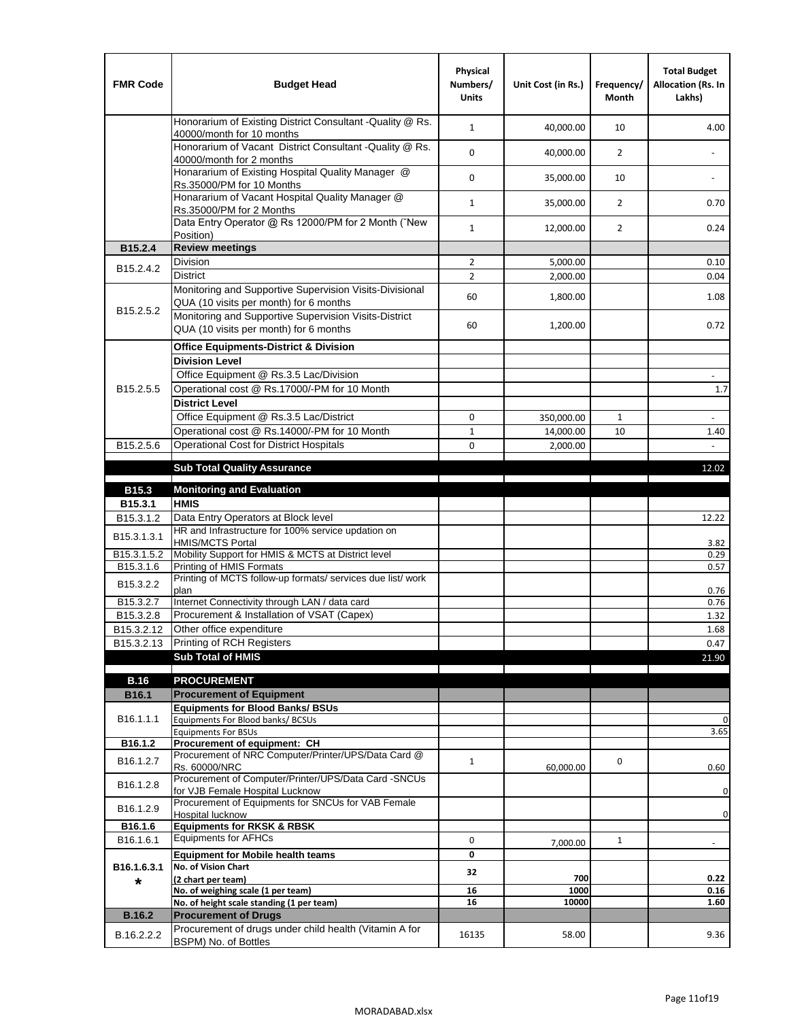| <b>FMR Code</b>         | <b>Budget Head</b>                                                                                | Physical<br>Numbers/<br><b>Units</b> | Unit Cost (in Rs.) | Frequency/<br><b>Month</b> | <b>Total Budget</b><br>Allocation (Rs. In<br>Lakhs) |
|-------------------------|---------------------------------------------------------------------------------------------------|--------------------------------------|--------------------|----------------------------|-----------------------------------------------------|
|                         | Honorarium of Existing District Consultant -Quality @ Rs.<br>40000/month for 10 months            | $\mathbf{1}$                         | 40,000.00          | 10                         | 4.00                                                |
|                         | Honorarium of Vacant District Consultant -Quality @ Rs.<br>40000/month for 2 months               | $\mathbf 0$                          | 40,000.00          | $\overline{2}$             | $\overline{\phantom{a}}$                            |
|                         | Honararium of Existing Hospital Quality Manager @<br>Rs.35000/PM for 10 Months                    | 0                                    | 35,000.00          | 10                         |                                                     |
|                         | Honararium of Vacant Hospital Quality Manager @<br>Rs.35000/PM for 2 Months                       | $\mathbf{1}$                         | 35,000.00          | $\overline{2}$             | 0.70                                                |
|                         | Data Entry Operator @ Rs 12000/PM for 2 Month ("New<br>Position)                                  | $\mathbf{1}$                         | 12,000.00          | $\overline{2}$             | 0.24                                                |
| B15.2.4                 | <b>Review meetings</b>                                                                            |                                      |                    |                            |                                                     |
| B <sub>15.2</sub> .4.2  | Division                                                                                          | $\overline{2}$                       | 5,000.00           |                            | 0.10                                                |
|                         | <b>District</b>                                                                                   | $\overline{2}$                       | 2,000.00           |                            | 0.04                                                |
|                         | Monitoring and Supportive Supervision Visits-Divisional<br>QUA (10 visits per month) for 6 months | 60                                   | 1,800.00           |                            | 1.08                                                |
| B15.2.5.2               | Monitoring and Supportive Supervision Visits-District<br>QUA (10 visits per month) for 6 months   | 60                                   | 1,200.00           |                            | 0.72                                                |
|                         | <b>Office Equipments-District &amp; Division</b>                                                  |                                      |                    |                            |                                                     |
|                         | <b>Division Level</b>                                                                             |                                      |                    |                            |                                                     |
|                         | Office Equipment @ Rs.3.5 Lac/Division                                                            |                                      |                    |                            | $\overline{\phantom{a}}$                            |
| B15.2.5.5               | Operational cost @ Rs.17000/-PM for 10 Month                                                      |                                      |                    |                            | 1.7                                                 |
|                         | <b>District Level</b>                                                                             |                                      |                    |                            |                                                     |
|                         | Office Equipment @ Rs.3.5 Lac/District                                                            | 0                                    | 350,000.00         | 1                          | $\blacksquare$                                      |
|                         | Operational cost @ Rs.14000/-PM for 10 Month                                                      | $1\,$                                | 14,000.00          | 10                         | 1.40                                                |
| B15.2.5.6               | <b>Operational Cost for District Hospitals</b>                                                    | 0                                    | 2,000.00           |                            | $\mathbf{r}$                                        |
|                         | <b>Sub Total Quality Assurance</b>                                                                |                                      |                    |                            | 12.02                                               |
|                         |                                                                                                   |                                      |                    |                            |                                                     |
| B15.3                   | <b>Monitoring and Evaluation</b><br><b>HMIS</b>                                                   |                                      |                    |                            |                                                     |
| B15.3.1<br>B15.3.1.2    | Data Entry Operators at Block level                                                               |                                      |                    |                            | 12.22                                               |
| B15.3.1.3.1             | HR and Infrastructure for 100% service updation on<br><b>HMIS/MCTS Portal</b>                     |                                      |                    |                            | 3.82                                                |
| B <sub>15.3.1.5.2</sub> | Mobility Support for HMIS & MCTS at District level                                                |                                      |                    |                            | 0.29                                                |
| B15.3.1.6               | Printing of HMIS Formats                                                                          |                                      |                    |                            | 0.57                                                |
| B15.3.2.2               | Printing of MCTS follow-up formats/ services due list/ work<br>plan                               |                                      |                    |                            |                                                     |
| B15.3.2.7               | Internet Connectivity through LAN / data card                                                     |                                      |                    |                            | 0.76<br>0.76                                        |
| B15.3.2.8               | Procurement & Installation of VSAT (Capex)                                                        |                                      |                    |                            | 1.32                                                |
| B15.3.2.12              | Other office expenditure                                                                          |                                      |                    |                            | 1.68                                                |
| B15.3.2.13              | Printing of RCH Registers                                                                         |                                      |                    |                            | 0.47                                                |
|                         | <b>Sub Total of HMIS</b>                                                                          |                                      |                    |                            | 21.90                                               |
|                         |                                                                                                   |                                      |                    |                            |                                                     |
| <b>B.16</b>             | <b>PROCUREMENT</b><br><b>Procurement of Equipment</b>                                             |                                      |                    |                            |                                                     |
| B16.1                   | <b>Equipments for Blood Banks/ BSUs</b>                                                           |                                      |                    |                            |                                                     |
| B16.1.1.1               | Equipments For Blood banks/ BCSUs                                                                 |                                      |                    |                            | 0                                                   |
|                         | <b>Equipments For BSUs</b>                                                                        |                                      |                    |                            | 3.65                                                |
| B16.1.2                 | Procurement of equipment: CH                                                                      |                                      |                    |                            |                                                     |
| B16.1.2.7               | Procurement of NRC Computer/Printer/UPS/Data Card @<br>Rs. 60000/NRC                              | $\mathbf{1}$                         | 60,000.00          | 0                          | 0.60                                                |
|                         | Procurement of Computer/Printer/UPS/Data Card -SNCUs                                              |                                      |                    |                            |                                                     |
| B16.1.2.8               | for VJB Female Hospital Lucknow                                                                   |                                      |                    |                            | 0                                                   |
| B16.1.2.9               | Procurement of Equipments for SNCUs for VAB Female                                                |                                      |                    |                            | 0                                                   |
| B16.1.6                 | Hospital lucknow<br><b>Equipments for RKSK &amp; RBSK</b>                                         |                                      |                    |                            |                                                     |
| B16.1.6.1               | <b>Equipments for AFHCs</b>                                                                       | 0                                    | 7,000.00           | $\mathbf{1}$               | ÷,                                                  |
|                         | <b>Equipment for Mobile health teams</b>                                                          | 0                                    |                    |                            |                                                     |
| B16.1.6.3.1             | No. of Vision Chart                                                                               | 32                                   |                    |                            |                                                     |
| *                       | (2 chart per team)                                                                                |                                      | 700                |                            | 0.22                                                |
|                         | No. of weighing scale (1 per team)<br>No. of height scale standing (1 per team)                   | 16<br>16                             | 1000<br>10000      |                            | 0.16<br>1.60                                        |
| <b>B.16.2</b>           | <b>Procurement of Drugs</b>                                                                       |                                      |                    |                            |                                                     |
|                         | Procurement of drugs under child health (Vitamin A for                                            |                                      |                    |                            |                                                     |
| B.16.2.2.2              | BSPM) No. of Bottles                                                                              | 16135                                | 58.00              |                            | 9.36                                                |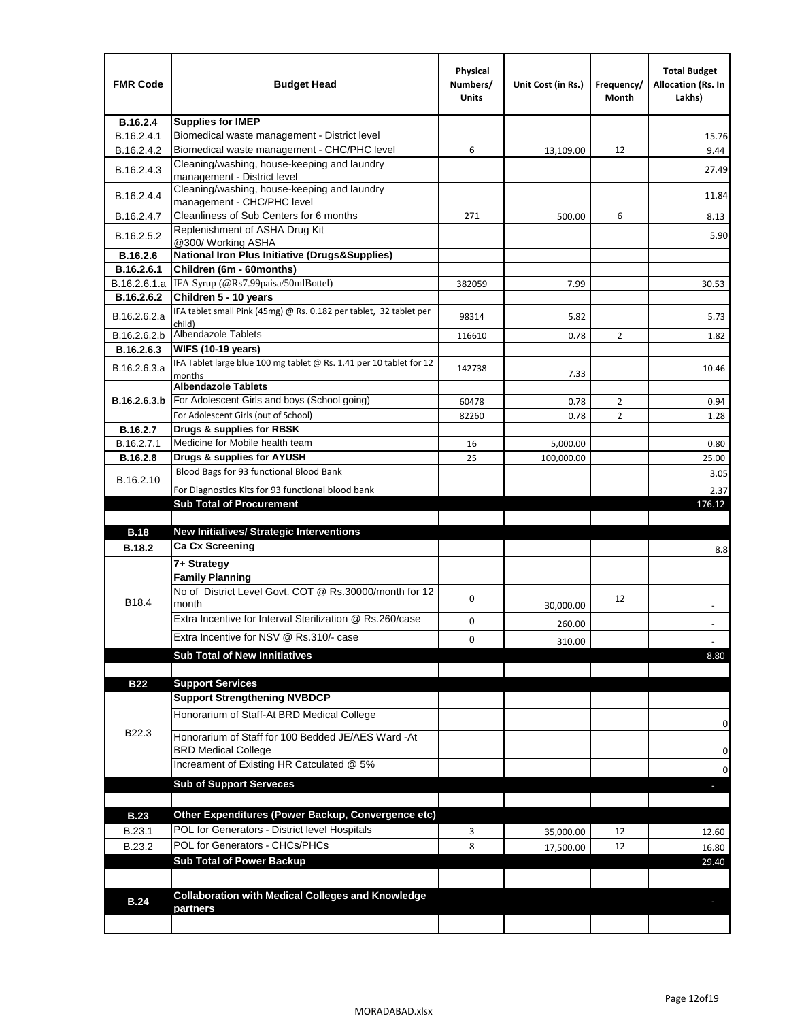| <b>FMR Code</b> | <b>Budget Head</b>                                                            | Physical<br>Numbers/<br><b>Units</b> | Unit Cost (in Rs.) | Frequency/<br>Month | <b>Total Budget</b><br>Allocation (Rs. In<br>Lakhs) |
|-----------------|-------------------------------------------------------------------------------|--------------------------------------|--------------------|---------------------|-----------------------------------------------------|
| B.16.2.4        | <b>Supplies for IMEP</b>                                                      |                                      |                    |                     |                                                     |
| B.16.2.4.1      | Biomedical waste management - District level                                  |                                      |                    |                     | 15.76                                               |
| B.16.2.4.2      | Biomedical waste management - CHC/PHC level                                   | 6                                    | 13,109.00          | 12                  | 9.44                                                |
| B.16.2.4.3      | Cleaning/washing, house-keeping and laundry<br>management - District level    |                                      |                    |                     | 27.49                                               |
| B.16.2.4.4      | Cleaning/washing, house-keeping and laundry<br>management - CHC/PHC level     |                                      |                    |                     | 11.84                                               |
| B.16.2.4.7      | Cleanliness of Sub Centers for 6 months                                       | 271                                  | 500.00             | 6                   | 8.13                                                |
| B.16.2.5.2      | Replenishment of ASHA Drug Kit<br>@300/ Working ASHA                          |                                      |                    |                     | 5.90                                                |
| B.16.2.6        | <b>National Iron Plus Initiative (Drugs&amp;Supplies)</b>                     |                                      |                    |                     |                                                     |
| B.16.2.6.1      | Children (6m - 60months)                                                      |                                      |                    |                     |                                                     |
| B.16.2.6.1.a    | IFA Syrup (@Rs7.99paisa/50mlBottel)                                           | 382059                               | 7.99               |                     | 30.53                                               |
| B.16.2.6.2      | Children 5 - 10 years                                                         |                                      |                    |                     |                                                     |
| B.16.2.6.2.a    | IFA tablet small Pink (45mg) @ Rs. 0.182 per tablet, 32 tablet per<br>child)  | 98314                                | 5.82               |                     | 5.73                                                |
| B.16.2.6.2.b    | <b>Albendazole Tablets</b>                                                    | 116610                               | 0.78               | 2                   | 1.82                                                |
| B.16.2.6.3      | <b>WIFS (10-19 years)</b>                                                     |                                      |                    |                     |                                                     |
| B.16.2.6.3.a    | IFA Tablet large blue 100 mg tablet @ Rs. 1.41 per 10 tablet for 12<br>months | 142738                               | 7.33               |                     | 10.46                                               |
|                 | <b>Albendazole Tablets</b>                                                    |                                      |                    |                     |                                                     |
| B.16.2.6.3.b    | For Adolescent Girls and boys (School going)                                  | 60478                                | 0.78               | $\overline{2}$      | 0.94                                                |
|                 | For Adolescent Girls (out of School)                                          | 82260                                | 0.78               | $\overline{2}$      | 1.28                                                |
| B.16.2.7        | Drugs & supplies for RBSK                                                     |                                      |                    |                     |                                                     |
| B.16.2.7.1      | Medicine for Mobile health team                                               | 16                                   | 5,000.00           |                     | 0.80                                                |
| <b>B.16.2.8</b> | Drugs & supplies for AYUSH                                                    | 25                                   | 100,000.00         |                     | 25.00                                               |
| B.16.2.10       | Blood Bags for 93 functional Blood Bank                                       |                                      |                    |                     | 3.05                                                |
|                 | For Diagnostics Kits for 93 functional blood bank                             |                                      |                    |                     | 2.37                                                |
|                 | <b>Sub Total of Procurement</b>                                               |                                      |                    |                     | 176.12                                              |
| <b>B.18</b>     | <b>New Initiatives/ Strategic Interventions</b>                               |                                      |                    |                     |                                                     |
|                 | <b>Ca Cx Screening</b>                                                        |                                      |                    |                     |                                                     |
| <b>B.18.2</b>   |                                                                               |                                      |                    |                     | 8.8                                                 |
|                 | 7+ Strategy<br><b>Family Planning</b>                                         |                                      |                    |                     |                                                     |
| B18.4           | No of District Level Govt. COT @ Rs.30000/month for 12<br>month               | 0                                    |                    | 12                  |                                                     |
|                 | Extra Incentive for Interval Sterilization @ Rs.260/case                      |                                      | 30,000.00          |                     |                                                     |
|                 |                                                                               | 0                                    | 260.00             |                     |                                                     |
|                 | Extra Incentive for NSV @ Rs.310/- case                                       | 0                                    | 310.00             |                     |                                                     |
|                 | <b>Sub Total of New Innitiatives</b>                                          |                                      |                    |                     | 8.80                                                |
|                 |                                                                               |                                      |                    |                     |                                                     |
| <b>B22</b>      | <b>Support Services</b><br><b>Support Strengthening NVBDCP</b>                |                                      |                    |                     |                                                     |
|                 | Honorarium of Staff-At BRD Medical College                                    |                                      |                    |                     |                                                     |
| B22.3           | Honorarium of Staff for 100 Bedded JE/AES Ward -At                            |                                      |                    |                     | 0                                                   |
|                 | <b>BRD Medical College</b><br>Increament of Existing HR Catculated @ 5%       |                                      |                    |                     | 0                                                   |
|                 |                                                                               |                                      |                    |                     | 0                                                   |
|                 | <b>Sub of Support Serveces</b>                                                |                                      |                    |                     |                                                     |
|                 |                                                                               |                                      |                    |                     |                                                     |
| <b>B.23</b>     | Other Expenditures (Power Backup, Convergence etc)                            |                                      |                    |                     |                                                     |
| B.23.1          | POL for Generators - District level Hospitals                                 | 3                                    | 35,000.00          | 12                  | 12.60                                               |
| B.23.2          | POL for Generators - CHCs/PHCs                                                | 8                                    | 17,500.00          | 12                  | 16.80                                               |
|                 | <b>Sub Total of Power Backup</b>                                              |                                      |                    |                     | 29.40                                               |
|                 |                                                                               |                                      |                    |                     |                                                     |
| <b>B.24</b>     | <b>Collaboration with Medical Colleges and Knowledge</b><br>partners          |                                      |                    |                     |                                                     |
|                 |                                                                               |                                      |                    |                     |                                                     |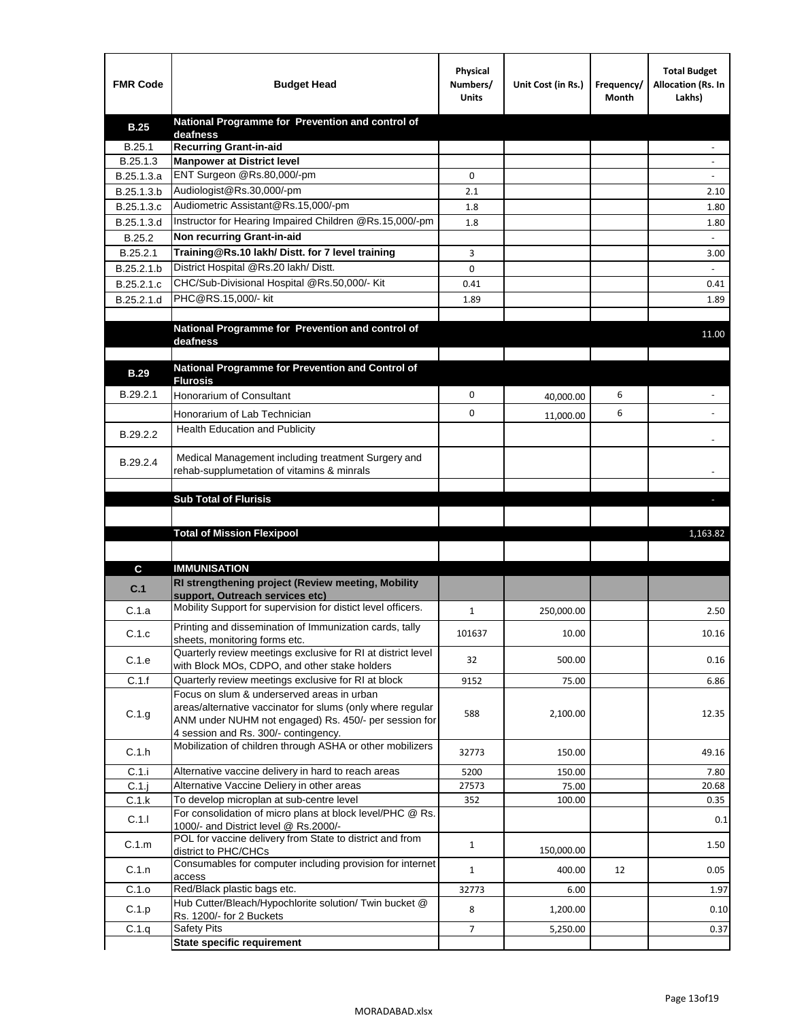| <b>FMR Code</b> | <b>Budget Head</b>                                                                                   | Physical<br>Numbers/<br><b>Units</b> | Unit Cost (in Rs.) | Frequency/<br>Month | <b>Total Budget</b><br>Allocation (Rs. In<br>Lakhs) |
|-----------------|------------------------------------------------------------------------------------------------------|--------------------------------------|--------------------|---------------------|-----------------------------------------------------|
| <b>B.25</b>     | National Programme for Prevention and control of                                                     |                                      |                    |                     |                                                     |
| B.25.1          | deafness<br><b>Recurring Grant-in-aid</b>                                                            |                                      |                    |                     |                                                     |
| B.25.1.3        | <b>Manpower at District level</b>                                                                    |                                      |                    |                     |                                                     |
| B.25.1.3.a      | ENT Surgeon @Rs.80,000/-pm                                                                           | 0                                    |                    |                     |                                                     |
| B.25.1.3.b      | Audiologist@Rs.30,000/-pm                                                                            | 2.1                                  |                    |                     | 2.10                                                |
| B.25.1.3.c      | Audiometric Assistant@Rs.15,000/-pm                                                                  | 1.8                                  |                    |                     | 1.80                                                |
| B.25.1.3.d      | Instructor for Hearing Impaired Children @Rs.15,000/-pm                                              | 1.8                                  |                    |                     | 1.80                                                |
| B.25.2          | Non recurring Grant-in-aid                                                                           |                                      |                    |                     |                                                     |
| B.25.2.1        | Training@Rs.10 lakh/ Distt. for 7 level training                                                     | 3                                    |                    |                     | 3.00                                                |
| B.25.2.1.b      | District Hospital @Rs.20 lakh/Distt.                                                                 | 0                                    |                    |                     |                                                     |
| B.25.2.1.c      | CHC/Sub-Divisional Hospital @Rs.50,000/- Kit                                                         | 0.41                                 |                    |                     | 0.41                                                |
| B.25.2.1.d      | PHC@RS.15,000/- kit                                                                                  | 1.89                                 |                    |                     | 1.89                                                |
|                 | National Programme for Prevention and control of                                                     |                                      |                    |                     |                                                     |
|                 | deafness                                                                                             |                                      |                    |                     | 11.00                                               |
|                 |                                                                                                      |                                      |                    |                     |                                                     |
| <b>B.29</b>     | National Programme for Prevention and Control of<br><b>Flurosis</b>                                  |                                      |                    |                     |                                                     |
| B.29.2.1        | Honorarium of Consultant                                                                             | 0                                    | 40,000.00          | 6                   |                                                     |
|                 |                                                                                                      | 0                                    |                    | 6                   |                                                     |
|                 | Honorarium of Lab Technician<br><b>Health Education and Publicity</b>                                |                                      | 11,000.00          |                     |                                                     |
| B.29.2.2        |                                                                                                      |                                      |                    |                     |                                                     |
| B.29.2.4        | Medical Management including treatment Surgery and                                                   |                                      |                    |                     |                                                     |
|                 | rehab-supplumetation of vitamins & minrals                                                           |                                      |                    |                     |                                                     |
|                 |                                                                                                      |                                      |                    |                     |                                                     |
|                 | <b>Sub Total of Flurisis</b>                                                                         |                                      |                    |                     | ь                                                   |
|                 |                                                                                                      |                                      |                    |                     |                                                     |
|                 | <b>Total of Mission Flexipool</b>                                                                    |                                      |                    |                     | 1,163.82                                            |
|                 |                                                                                                      |                                      |                    |                     |                                                     |
| C               | <b>IMMUNISATION</b>                                                                                  |                                      |                    |                     |                                                     |
| C.1             | RI strengthening project (Review meeting, Mobility<br>support, Outreach services etc)                |                                      |                    |                     |                                                     |
| C.1.a           | Mobility Support for supervision for distict level officers.                                         | $\mathbf{1}$                         | 250,000.00         |                     | 2.50                                                |
|                 | Printing and dissemination of Immunization cards, tally                                              |                                      |                    |                     |                                                     |
| C.1.c           | sheets, monitoring forms etc.                                                                        | 101637                               | 10.00              |                     | 10.16                                               |
| C.1.e           | Quarterly review meetings exclusive for RI at district level                                         | 32                                   | 500.00             |                     | 0.16                                                |
| C.1.f           | with Block MOs, CDPO, and other stake holders<br>Quarterly review meetings exclusive for RI at block | 9152                                 | 75.00              |                     | 6.86                                                |
|                 | Focus on slum & underserved areas in urban                                                           |                                      |                    |                     |                                                     |
| C.1.g           | areas/alternative vaccinator for slums (only where regular                                           | 588                                  | 2,100.00           |                     | 12.35                                               |
|                 | ANM under NUHM not engaged) Rs. 450/- per session for                                                |                                      |                    |                     |                                                     |
|                 | 4 session and Rs. 300/- contingency.<br>Mobilization of children through ASHA or other mobilizers    |                                      |                    |                     |                                                     |
| C.1.h           |                                                                                                      | 32773                                | 150.00             |                     | 49.16                                               |
| C.1.i           | Alternative vaccine delivery in hard to reach areas                                                  | 5200                                 | 150.00             |                     | 7.80                                                |
| $C.1$ .j        | Alternative Vaccine Deliery in other areas                                                           | 27573                                | 75.00              |                     | 20.68                                               |
| C.1.k           | To develop microplan at sub-centre level                                                             | 352                                  | 100.00             |                     | 0.35                                                |
| C.1.1           | For consolidation of micro plans at block level/PHC @ Rs.<br>1000/- and District level @ Rs.2000/-   |                                      |                    |                     | 0.1                                                 |
| C.1.m           | POL for vaccine delivery from State to district and from                                             | $\mathbf{1}$                         |                    |                     | 1.50                                                |
|                 | district to PHC/CHCs<br>Consumables for computer including provision for internet                    |                                      | 150,000.00         |                     |                                                     |
| C.1.n           | access                                                                                               | $\mathbf{1}$                         | 400.00             | 12                  | 0.05                                                |
| C.1.o           | Red/Black plastic bags etc.                                                                          | 32773                                | 6.00               |                     | 1.97                                                |
|                 |                                                                                                      |                                      |                    |                     |                                                     |
| C.1.p           | Hub Cutter/Bleach/Hypochlorite solution/ Twin bucket @                                               | 8                                    | 1,200.00           |                     | 0.10                                                |
| C.1.q           | Rs. 1200/- for 2 Buckets<br><b>Safety Pits</b>                                                       | $\overline{7}$                       | 5,250.00           |                     | 0.37                                                |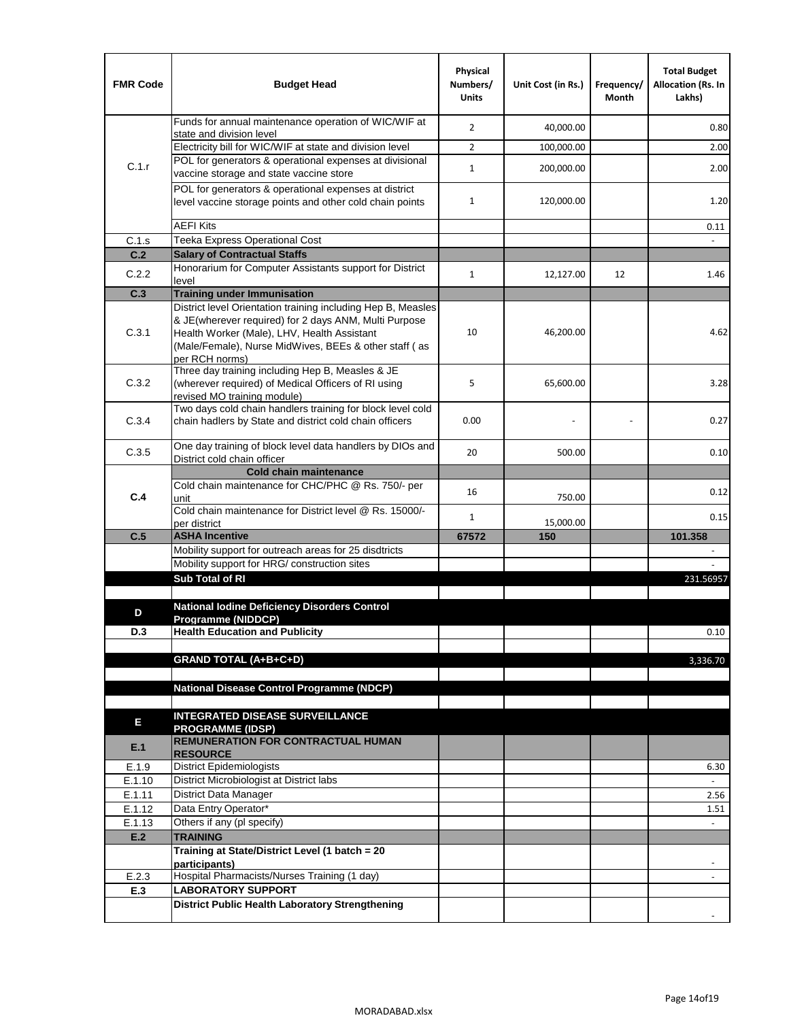| <b>FMR Code</b> | <b>Budget Head</b>                                                                                                                                                                                                                              | Physical<br>Numbers/<br><b>Units</b> | Unit Cost (in Rs.) | Frequency/<br>Month | <b>Total Budget</b><br><b>Allocation (Rs. In</b><br>Lakhs) |
|-----------------|-------------------------------------------------------------------------------------------------------------------------------------------------------------------------------------------------------------------------------------------------|--------------------------------------|--------------------|---------------------|------------------------------------------------------------|
|                 | Funds for annual maintenance operation of WIC/WIF at<br>state and division level                                                                                                                                                                | $\overline{2}$                       | 40,000.00          |                     | 0.80                                                       |
|                 | Electricity bill for WIC/WIF at state and division level                                                                                                                                                                                        | $\overline{2}$                       | 100,000.00         |                     | 2.00                                                       |
| C.1.r           | POL for generators & operational expenses at divisional                                                                                                                                                                                         |                                      |                    |                     |                                                            |
|                 | vaccine storage and state vaccine store                                                                                                                                                                                                         | $\mathbf{1}$                         | 200,000.00         |                     | 2.00                                                       |
|                 | POL for generators & operational expenses at district<br>level vaccine storage points and other cold chain points                                                                                                                               | $\mathbf{1}$                         | 120,000.00         |                     | 1.20                                                       |
|                 | <b>AEFI Kits</b>                                                                                                                                                                                                                                |                                      |                    |                     | 0.11                                                       |
| C.1.s           | Teeka Express Operational Cost                                                                                                                                                                                                                  |                                      |                    |                     |                                                            |
| C.2             | <b>Salary of Contractual Staffs</b>                                                                                                                                                                                                             |                                      |                    |                     |                                                            |
| C.2.2           | Honorarium for Computer Assistants support for District<br>level                                                                                                                                                                                | $\mathbf{1}$                         | 12,127.00          | 12                  | 1.46                                                       |
| C.3             | <b>Training under Immunisation</b>                                                                                                                                                                                                              |                                      |                    |                     |                                                            |
| C.3.1           | District level Orientation training including Hep B, Measles<br>& JE(wherever required) for 2 days ANM, Multi Purpose<br>Health Worker (Male), LHV, Health Assistant<br>(Male/Female), Nurse MidWives, BEEs & other staff (as<br>per RCH norms) | 10                                   | 46,200.00          |                     | 4.62                                                       |
| C.3.2           | Three day training including Hep B, Measles & JE<br>(wherever required) of Medical Officers of RI using<br>revised MO training module)                                                                                                          | 5                                    | 65,600.00          |                     | 3.28                                                       |
| C.3.4           | Two days cold chain handlers training for block level cold<br>chain hadlers by State and district cold chain officers                                                                                                                           | 0.00                                 |                    |                     | 0.27                                                       |
| C.3.5           | One day training of block level data handlers by DIOs and<br>District cold chain officer                                                                                                                                                        | 20                                   | 500.00             |                     | 0.10                                                       |
|                 | <b>Cold chain maintenance</b>                                                                                                                                                                                                                   |                                      |                    |                     |                                                            |
| C.4             | Cold chain maintenance for CHC/PHC @ Rs. 750/- per<br>unit                                                                                                                                                                                      | 16                                   | 750.00             |                     | 0.12                                                       |
|                 | Cold chain maintenance for District level @ Rs. 15000/-<br>per district                                                                                                                                                                         | $\mathbf{1}$                         | 15,000.00          |                     | 0.15                                                       |
| C.5             | <b>ASHA Incentive</b>                                                                                                                                                                                                                           | 67572                                | 150                |                     | 101.358                                                    |
|                 | Mobility support for outreach areas for 25 disdtricts                                                                                                                                                                                           |                                      |                    |                     |                                                            |
|                 | Mobility support for HRG/ construction sites                                                                                                                                                                                                    |                                      |                    |                     |                                                            |
|                 | Sub Total of RI                                                                                                                                                                                                                                 |                                      |                    |                     | 231.56957                                                  |
|                 | <b>National Iodine Deficiency Disorders Control</b>                                                                                                                                                                                             |                                      |                    |                     |                                                            |
| D               | Programme (NIDDCP)                                                                                                                                                                                                                              |                                      |                    |                     |                                                            |
| D.3             | <b>Health Education and Publicity</b>                                                                                                                                                                                                           |                                      |                    |                     | 0.10                                                       |
|                 |                                                                                                                                                                                                                                                 |                                      |                    |                     |                                                            |
|                 | <b>GRAND TOTAL (A+B+C+D)</b>                                                                                                                                                                                                                    |                                      |                    |                     | 3,336.70                                                   |
|                 | National Disease Control Programme (NDCP)                                                                                                                                                                                                       |                                      |                    |                     |                                                            |
|                 |                                                                                                                                                                                                                                                 |                                      |                    |                     |                                                            |
| Е               | <b>INTEGRATED DISEASE SURVEILLANCE</b>                                                                                                                                                                                                          |                                      |                    |                     |                                                            |
|                 | <b>PROGRAMME (IDSP)</b>                                                                                                                                                                                                                         |                                      |                    |                     |                                                            |
| E.1             | <b>REMUNERATION FOR CONTRACTUAL HUMAN</b><br><b>RESOURCE</b>                                                                                                                                                                                    |                                      |                    |                     |                                                            |
| E.1.9           | District Epidemiologists                                                                                                                                                                                                                        |                                      |                    |                     | 6.30                                                       |
| E.1.10          | District Microbiologist at District labs                                                                                                                                                                                                        |                                      |                    |                     |                                                            |
| E.1.11          | District Data Manager                                                                                                                                                                                                                           |                                      |                    |                     | 2.56                                                       |
| E.1.12          | Data Entry Operator*                                                                                                                                                                                                                            |                                      |                    |                     | 1.51                                                       |
| E.1.13          | Others if any (pl specify)                                                                                                                                                                                                                      |                                      |                    |                     | $\omega$                                                   |
| E.2             | <b>TRAINING</b>                                                                                                                                                                                                                                 |                                      |                    |                     |                                                            |
|                 | Training at State/District Level (1 batch = 20<br>participants)                                                                                                                                                                                 |                                      |                    |                     |                                                            |
| E.2.3           | Hospital Pharmacists/Nurses Training (1 day)                                                                                                                                                                                                    |                                      |                    |                     |                                                            |
| E.3             | <b>LABORATORY SUPPORT</b>                                                                                                                                                                                                                       |                                      |                    |                     |                                                            |
|                 | <b>District Public Health Laboratory Strengthening</b>                                                                                                                                                                                          |                                      |                    |                     |                                                            |
|                 |                                                                                                                                                                                                                                                 |                                      |                    |                     |                                                            |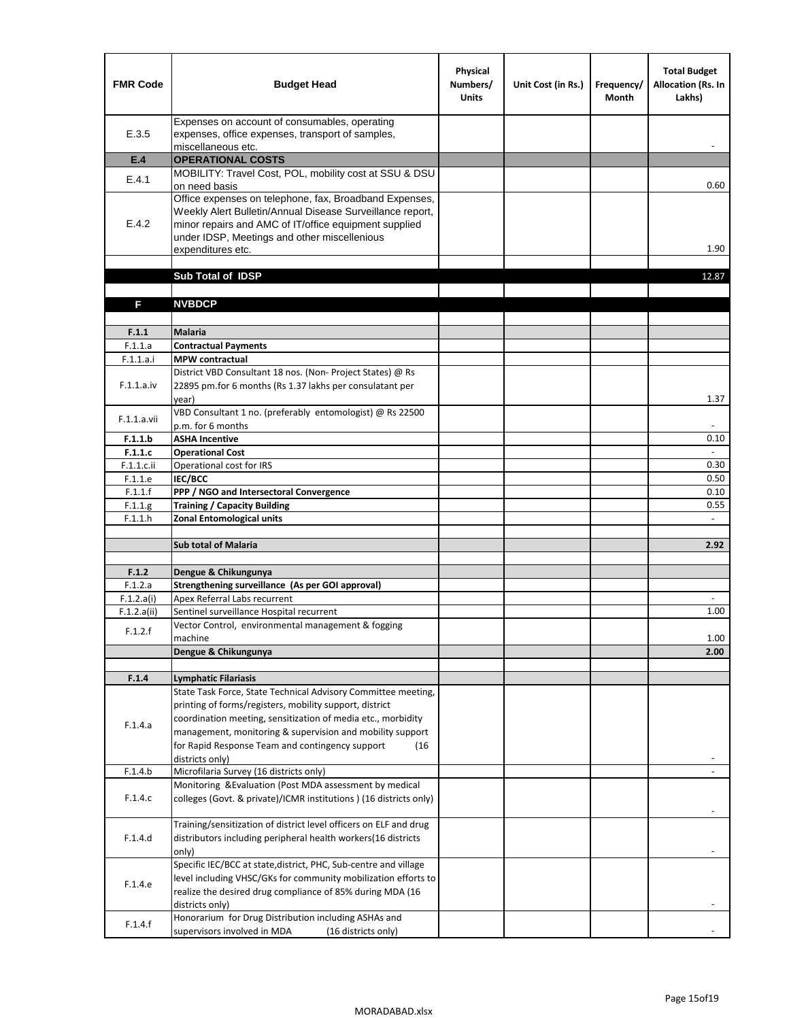| <b>FMR Code</b> | <b>Budget Head</b>                                                                                                                                                                                                                                | Physical<br>Numbers/<br><b>Units</b> | Unit Cost (in Rs.) | Frequency/<br><b>Month</b> | <b>Total Budget</b><br>Allocation (Rs. In<br>Lakhs) |
|-----------------|---------------------------------------------------------------------------------------------------------------------------------------------------------------------------------------------------------------------------------------------------|--------------------------------------|--------------------|----------------------------|-----------------------------------------------------|
| E.3.5           | Expenses on account of consumables, operating<br>expenses, office expenses, transport of samples,<br>miscellaneous etc.                                                                                                                           |                                      |                    |                            |                                                     |
| E.4             | <b>OPERATIONAL COSTS</b>                                                                                                                                                                                                                          |                                      |                    |                            |                                                     |
| E.4.1           | MOBILITY: Travel Cost, POL, mobility cost at SSU & DSU                                                                                                                                                                                            |                                      |                    |                            |                                                     |
|                 | on need basis                                                                                                                                                                                                                                     |                                      |                    |                            | 0.60                                                |
| E.4.2           | Office expenses on telephone, fax, Broadband Expenses,<br>Weekly Alert Bulletin/Annual Disease Surveillance report,<br>minor repairs and AMC of IT/office equipment supplied<br>under IDSP, Meetings and other miscellenious<br>expenditures etc. |                                      |                    |                            | 1.90                                                |
|                 | Sub Total of IDSP                                                                                                                                                                                                                                 |                                      |                    |                            | 12.87                                               |
|                 |                                                                                                                                                                                                                                                   |                                      |                    |                            |                                                     |
| F               | <b>NVBDCP</b>                                                                                                                                                                                                                                     |                                      |                    |                            |                                                     |
|                 |                                                                                                                                                                                                                                                   |                                      |                    |                            |                                                     |
| F.1.1           | <b>Malaria</b>                                                                                                                                                                                                                                    |                                      |                    |                            |                                                     |
| F.1.1.a         | <b>Contractual Payments</b>                                                                                                                                                                                                                       |                                      |                    |                            |                                                     |
| F.1.1.a.i       | <b>MPW</b> contractual<br>District VBD Consultant 18 nos. (Non-Project States) @ Rs                                                                                                                                                               |                                      |                    |                            |                                                     |
| F.1.1.a.iv      | 22895 pm.for 6 months (Rs 1.37 lakhs per consulatant per<br>year)                                                                                                                                                                                 |                                      |                    |                            | 1.37                                                |
|                 | VBD Consultant 1 no. (preferably entomologist) @ Rs 22500                                                                                                                                                                                         |                                      |                    |                            |                                                     |
| F.1.1.a.vii     | p.m. for 6 months                                                                                                                                                                                                                                 |                                      |                    |                            |                                                     |
| F.1.1.b         | <b>ASHA Incentive</b>                                                                                                                                                                                                                             |                                      |                    |                            | 0.10                                                |
| F.1.1.c         | <b>Operational Cost</b>                                                                                                                                                                                                                           |                                      |                    |                            |                                                     |
| $F.1.1.c.$ ii   | Operational cost for IRS                                                                                                                                                                                                                          |                                      |                    |                            | 0.30                                                |
| F.1.1.e         | <b>IEC/BCC</b>                                                                                                                                                                                                                                    |                                      |                    |                            | 0.50                                                |
| F.1.1.f         | PPP / NGO and Intersectoral Convergence                                                                                                                                                                                                           |                                      |                    |                            | 0.10                                                |
| F.1.1.g         | <b>Training / Capacity Building</b><br><b>Zonal Entomological units</b>                                                                                                                                                                           |                                      |                    |                            | 0.55                                                |
| F.1.1.h         |                                                                                                                                                                                                                                                   |                                      |                    |                            |                                                     |
|                 | <b>Sub total of Malaria</b>                                                                                                                                                                                                                       |                                      |                    |                            | 2.92                                                |
|                 |                                                                                                                                                                                                                                                   |                                      |                    |                            |                                                     |
| F.1.2           | Dengue & Chikungunya                                                                                                                                                                                                                              |                                      |                    |                            |                                                     |
| F.1.2.a         | Strengthening surveillance (As per GOI approval)                                                                                                                                                                                                  |                                      |                    |                            |                                                     |
| F.1.2.a(i)      | Apex Referral Labs recurrent                                                                                                                                                                                                                      |                                      |                    |                            |                                                     |
| F.1.2.a(ii)     | Sentinel surveillance Hospital recurrent<br>Vector Control, environmental management & fogging                                                                                                                                                    |                                      |                    |                            | 1.00                                                |
| F.1.2.f         | machine                                                                                                                                                                                                                                           |                                      |                    |                            | 1.00                                                |
|                 | Dengue & Chikungunya                                                                                                                                                                                                                              |                                      |                    |                            | 2.00                                                |
|                 |                                                                                                                                                                                                                                                   |                                      |                    |                            |                                                     |
| F.1.4           | <b>Lymphatic Filariasis</b>                                                                                                                                                                                                                       |                                      |                    |                            |                                                     |
|                 | State Task Force, State Technical Advisory Committee meeting,                                                                                                                                                                                     |                                      |                    |                            |                                                     |
|                 | printing of forms/registers, mobility support, district                                                                                                                                                                                           |                                      |                    |                            |                                                     |
| F.1.4.a         | coordination meeting, sensitization of media etc., morbidity<br>management, monitoring & supervision and mobility support                                                                                                                         |                                      |                    |                            |                                                     |
|                 | for Rapid Response Team and contingency support<br>(16)                                                                                                                                                                                           |                                      |                    |                            |                                                     |
|                 | districts only)                                                                                                                                                                                                                                   |                                      |                    |                            |                                                     |
| F.1.4.b         | Microfilaria Survey (16 districts only)                                                                                                                                                                                                           |                                      |                    |                            |                                                     |
|                 | Monitoring & Evaluation (Post MDA assessment by medical                                                                                                                                                                                           |                                      |                    |                            |                                                     |
| F.1.4.c         | colleges (Govt. & private)/ICMR institutions ) (16 districts only)                                                                                                                                                                                |                                      |                    |                            |                                                     |
|                 | Training/sensitization of district level officers on ELF and drug                                                                                                                                                                                 |                                      |                    |                            |                                                     |
| F.1.4.d         | distributors including peripheral health workers(16 districts                                                                                                                                                                                     |                                      |                    |                            |                                                     |
|                 | only)                                                                                                                                                                                                                                             |                                      |                    |                            |                                                     |
|                 | Specific IEC/BCC at state, district, PHC, Sub-centre and village                                                                                                                                                                                  |                                      |                    |                            |                                                     |
| F.1.4.e         | level including VHSC/GKs for community mobilization efforts to<br>realize the desired drug compliance of 85% during MDA (16                                                                                                                       |                                      |                    |                            |                                                     |
|                 | districts only)                                                                                                                                                                                                                                   |                                      |                    |                            |                                                     |
|                 | Honorarium for Drug Distribution including ASHAs and                                                                                                                                                                                              |                                      |                    |                            |                                                     |
| F.1.4.f         | supervisors involved in MDA<br>(16 districts only)                                                                                                                                                                                                |                                      |                    |                            |                                                     |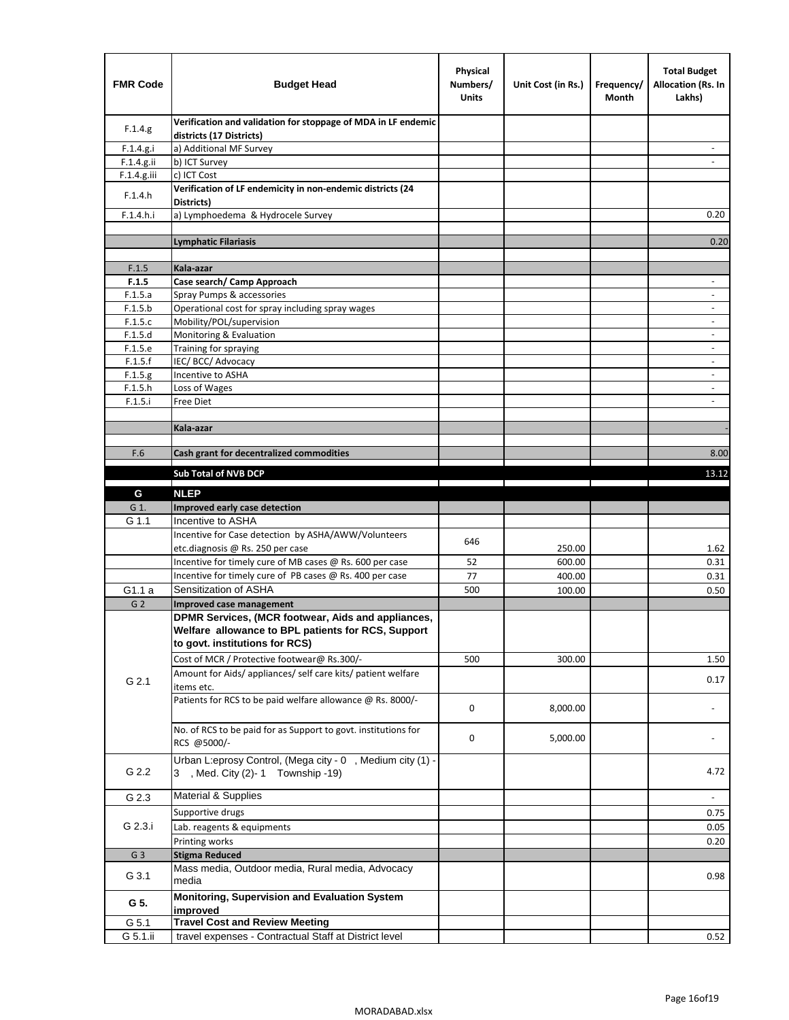| <b>FMR Code</b> | <b>Budget Head</b>                                                                                                                         | Physical<br>Numbers/<br><b>Units</b> | Unit Cost (in Rs.) | Frequency/<br>Month | <b>Total Budget</b><br><b>Allocation (Rs. In</b><br>Lakhs) |
|-----------------|--------------------------------------------------------------------------------------------------------------------------------------------|--------------------------------------|--------------------|---------------------|------------------------------------------------------------|
| F.1.4.g.        | Verification and validation for stoppage of MDA in LF endemic<br>districts (17 Districts)                                                  |                                      |                    |                     |                                                            |
| F.1.4.g.i       | a) Additional MF Survey                                                                                                                    |                                      |                    |                     |                                                            |
| F.1.4.g.ii      | b) ICT Survey                                                                                                                              |                                      |                    |                     |                                                            |
| $F.1.4.g.$ iii  | c) ICT Cost                                                                                                                                |                                      |                    |                     |                                                            |
| F.1.4.h         | Verification of LF endemicity in non-endemic districts (24<br>Districts)                                                                   |                                      |                    |                     |                                                            |
| F.1.4.h.i       | a) Lymphoedema & Hydrocele Survey                                                                                                          |                                      |                    |                     | 0.20                                                       |
|                 | Lymphatic Filariasis                                                                                                                       |                                      |                    |                     | 0.20                                                       |
|                 |                                                                                                                                            |                                      |                    |                     |                                                            |
| F.1.5           | Kala-azar                                                                                                                                  |                                      |                    |                     |                                                            |
| F.1.5           | Case search/ Camp Approach                                                                                                                 |                                      |                    |                     | $\overline{\phantom{a}}$                                   |
| F.1.5.a         | Spray Pumps & accessories                                                                                                                  |                                      |                    |                     | $\blacksquare$                                             |
| F.1.5.b         | Operational cost for spray including spray wages                                                                                           |                                      |                    |                     |                                                            |
| F.1.5.c         | Mobility/POL/supervision                                                                                                                   |                                      |                    |                     | $\overline{\phantom{a}}$                                   |
| F.1.5.d         | Monitoring & Evaluation                                                                                                                    |                                      |                    |                     |                                                            |
| F.1.5.e         | Training for spraying                                                                                                                      |                                      |                    |                     | $\blacksquare$                                             |
| F.1.5.f         | IEC/BCC/Advocacy                                                                                                                           |                                      |                    |                     | $\overline{a}$                                             |
| F.1.5.g         | Incentive to ASHA                                                                                                                          |                                      |                    |                     | $\overline{\phantom{a}}$                                   |
| F.1.5.h         | Loss of Wages                                                                                                                              |                                      |                    |                     | $\qquad \qquad \blacksquare$                               |
| F.1.5.i         | Free Diet                                                                                                                                  |                                      |                    |                     |                                                            |
|                 | Kala-azar                                                                                                                                  |                                      |                    |                     |                                                            |
|                 |                                                                                                                                            |                                      |                    |                     |                                                            |
| F.6             | Cash grant for decentralized commodities                                                                                                   |                                      |                    |                     | 8.00                                                       |
|                 |                                                                                                                                            |                                      |                    |                     |                                                            |
|                 | <b>Sub Total of NVB DCP</b>                                                                                                                |                                      |                    |                     | 13.12                                                      |
| G               | <b>NLEP</b>                                                                                                                                |                                      |                    |                     |                                                            |
| G 1.            | Improved early case detection                                                                                                              |                                      |                    |                     |                                                            |
| G 1.1           | Incentive to ASHA                                                                                                                          |                                      |                    |                     |                                                            |
|                 | Incentive for Case detection by ASHA/AWW/Volunteers                                                                                        | 646                                  |                    |                     |                                                            |
|                 | etc.diagnosis @ Rs. 250 per case                                                                                                           |                                      | 250.00             |                     | 1.62                                                       |
|                 | Incentive for timely cure of MB cases @ Rs. 600 per case                                                                                   | 52                                   | 600.00             |                     | 0.31                                                       |
|                 | Incentive for timely cure of PB cases @ Rs. 400 per case                                                                                   | 77                                   | 400.00             |                     | 0.31                                                       |
| G1.1 a          | Sensitization of ASHA                                                                                                                      | 500                                  | 100.00             |                     | 0.50                                                       |
| G <sub>2</sub>  | <b>Improved case management</b>                                                                                                            |                                      |                    |                     |                                                            |
|                 | DPMR Services, (MCR footwear, Aids and appliances,<br>Welfare allowance to BPL patients for RCS, Support<br>to govt. institutions for RCS) |                                      |                    |                     |                                                            |
|                 | Cost of MCR / Protective footwear@ Rs.300/-                                                                                                | 500                                  | 300.00             |                     | 1.50                                                       |
| G 2.1           | Amount for Aids/ appliances/ self care kits/ patient welfare<br>items etc.                                                                 |                                      |                    |                     | 0.17                                                       |
|                 | Patients for RCS to be paid welfare allowance @ Rs. 8000/-                                                                                 | 0                                    | 8,000.00           |                     |                                                            |
|                 | No. of RCS to be paid for as Support to govt. institutions for<br>RCS @5000/-                                                              | 0                                    | 5,000.00           |                     |                                                            |
| G 2.2           | Urban L:eprosy Control, (Mega city - 0, Medium city (1) -<br>3 , Med. City (2)-1 Township -19)                                             |                                      |                    |                     | 4.72                                                       |
| G 2.3           | Material & Supplies                                                                                                                        |                                      |                    |                     | $\sim$                                                     |
|                 | Supportive drugs                                                                                                                           |                                      |                    |                     | 0.75                                                       |
| G 2.3.i         | Lab. reagents & equipments                                                                                                                 |                                      |                    |                     | 0.05                                                       |
|                 | Printing works                                                                                                                             |                                      |                    |                     | 0.20                                                       |
| G <sub>3</sub>  | <b>Stigma Reduced</b>                                                                                                                      |                                      |                    |                     |                                                            |
|                 | Mass media, Outdoor media, Rural media, Advocacy                                                                                           |                                      |                    |                     |                                                            |
| G 3.1           | media<br>Monitoring, Supervision and Evaluation System                                                                                     |                                      |                    |                     | 0.98                                                       |
| G 5.            | improved                                                                                                                                   |                                      |                    |                     |                                                            |
| G 5.1           | <b>Travel Cost and Review Meeting</b>                                                                                                      |                                      |                    |                     |                                                            |
| G 5.1.ii        | travel expenses - Contractual Staff at District level                                                                                      |                                      |                    |                     | 0.52                                                       |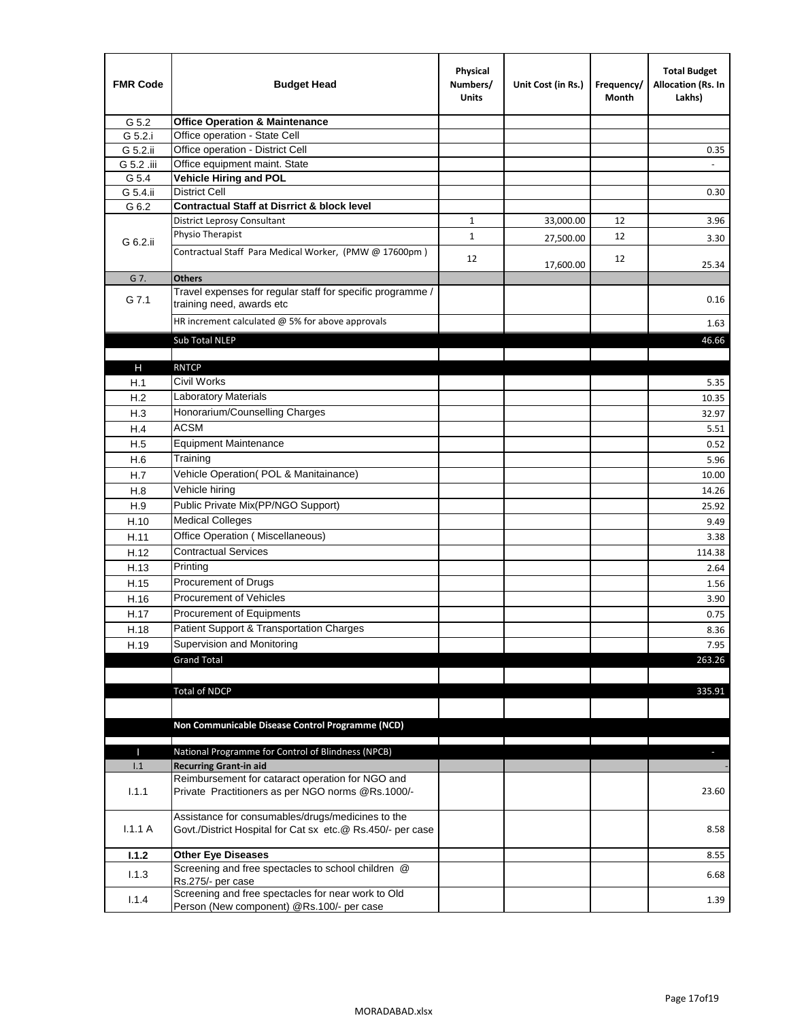| <b>FMR Code</b> | <b>Budget Head</b>                                                                                              | Physical<br>Numbers/<br><b>Units</b> | Unit Cost (in Rs.) | Frequency/<br>Month | <b>Total Budget</b><br>Allocation (Rs. In<br>Lakhs) |
|-----------------|-----------------------------------------------------------------------------------------------------------------|--------------------------------------|--------------------|---------------------|-----------------------------------------------------|
| G 5.2           | <b>Office Operation &amp; Maintenance</b>                                                                       |                                      |                    |                     |                                                     |
| G 5.2.i         | Office operation - State Cell                                                                                   |                                      |                    |                     |                                                     |
| G 5.2.ii        | Office operation - District Cell                                                                                |                                      |                    |                     | 0.35                                                |
| G 5.2 .iii      | Office equipment maint. State                                                                                   |                                      |                    |                     |                                                     |
| G 5.4           | <b>Vehicle Hiring and POL</b>                                                                                   |                                      |                    |                     |                                                     |
| G 5.4.ii        | <b>District Cell</b>                                                                                            |                                      |                    |                     | 0.30                                                |
| G 6.2           | <b>Contractual Staff at Disrrict &amp; block level</b>                                                          |                                      |                    |                     |                                                     |
|                 | <b>District Leprosy Consultant</b>                                                                              | 1                                    | 33,000.00          | 12                  | 3.96                                                |
| G 6.2.ii        | Physio Therapist                                                                                                | $\mathbf{1}$                         | 27,500.00          | 12                  | 3.30                                                |
|                 | Contractual Staff Para Medical Worker, (PMW @ 17600pm)                                                          | 12                                   | 17,600.00          | 12                  | 25.34                                               |
| G 7.            | <b>Others</b>                                                                                                   |                                      |                    |                     |                                                     |
| G 7.1           | Travel expenses for regular staff for specific programme /<br>training need, awards etc                         |                                      |                    |                     | 0.16                                                |
|                 | HR increment calculated $\omega$ 5% for above approvals                                                         |                                      |                    |                     | 1.63                                                |
|                 | Sub Total NLEP                                                                                                  |                                      |                    |                     | 46.66                                               |
|                 |                                                                                                                 |                                      |                    |                     |                                                     |
| Н               | <b>RNTCP</b>                                                                                                    |                                      |                    |                     |                                                     |
| H.1             | Civil Works                                                                                                     |                                      |                    |                     | 5.35                                                |
| H.2             | Laboratory Materials                                                                                            |                                      |                    |                     | 10.35                                               |
| H.3             | Honorarium/Counselling Charges                                                                                  |                                      |                    |                     | 32.97                                               |
| H.4             | <b>ACSM</b>                                                                                                     |                                      |                    |                     | 5.51                                                |
| H.5             | <b>Equipment Maintenance</b>                                                                                    |                                      |                    |                     | 0.52                                                |
| H.6             | Training                                                                                                        |                                      |                    |                     | 5.96                                                |
| H.7             | Vehicle Operation(POL & Manitainance)                                                                           |                                      |                    |                     | 10.00                                               |
| H.8             | Vehicle hiring                                                                                                  |                                      |                    |                     | 14.26                                               |
| H.9             | Public Private Mix(PP/NGO Support)                                                                              |                                      |                    |                     | 25.92                                               |
| H.10            | <b>Medical Colleges</b>                                                                                         |                                      |                    |                     | 9.49                                                |
| H.11            | Office Operation (Miscellaneous)                                                                                |                                      |                    |                     | 3.38                                                |
| H.12            | <b>Contractual Services</b>                                                                                     |                                      |                    |                     | 114.38                                              |
| H.13            | Printing                                                                                                        |                                      |                    |                     | 2.64                                                |
| H.15            | Procurement of Drugs                                                                                            |                                      |                    |                     | 1.56                                                |
| H.16            | Procurement of Vehicles                                                                                         |                                      |                    |                     | 3.90                                                |
| H.17            | Procurement of Equipments                                                                                       |                                      |                    |                     | 0.75                                                |
| H.18            | Patient Support & Transportation Charges                                                                        |                                      |                    |                     | 8.36                                                |
| H.19            | Supervision and Monitoring                                                                                      |                                      |                    |                     | 7.95                                                |
|                 | <b>Grand Total</b>                                                                                              |                                      |                    |                     | 263.26                                              |
|                 |                                                                                                                 |                                      |                    |                     |                                                     |
|                 | <b>Total of NDCP</b>                                                                                            |                                      |                    |                     | 335.91                                              |
|                 |                                                                                                                 |                                      |                    |                     |                                                     |
|                 | Non Communicable Disease Control Programme (NCD)                                                                |                                      |                    |                     |                                                     |
|                 |                                                                                                                 |                                      |                    |                     |                                                     |
| Т               | National Programme for Control of Blindness (NPCB)                                                              |                                      |                    |                     | ÷.                                                  |
| 1.1             | <b>Recurring Grant-in aid</b>                                                                                   |                                      |                    |                     |                                                     |
|                 | Reimbursement for cataract operation for NGO and                                                                |                                      |                    |                     |                                                     |
| 1.1.1           | Private Practitioners as per NGO norms @Rs.1000/-                                                               |                                      |                    |                     | 23.60                                               |
| 1.1.1A          | Assistance for consumables/drugs/medicines to the<br>Govt./District Hospital for Cat sx etc.@ Rs.450/- per case |                                      |                    |                     | 8.58                                                |
| 1.1.2           | <b>Other Eye Diseases</b>                                                                                       |                                      |                    |                     | 8.55                                                |
| 1.1.3           | Screening and free spectacles to school children @                                                              |                                      |                    |                     | 6.68                                                |
|                 | Rs.275/- per case                                                                                               |                                      |                    |                     |                                                     |
| 1.1.4           | Screening and free spectacles for near work to Old<br>Person (New component) @Rs.100/- per case                 |                                      |                    |                     | 1.39                                                |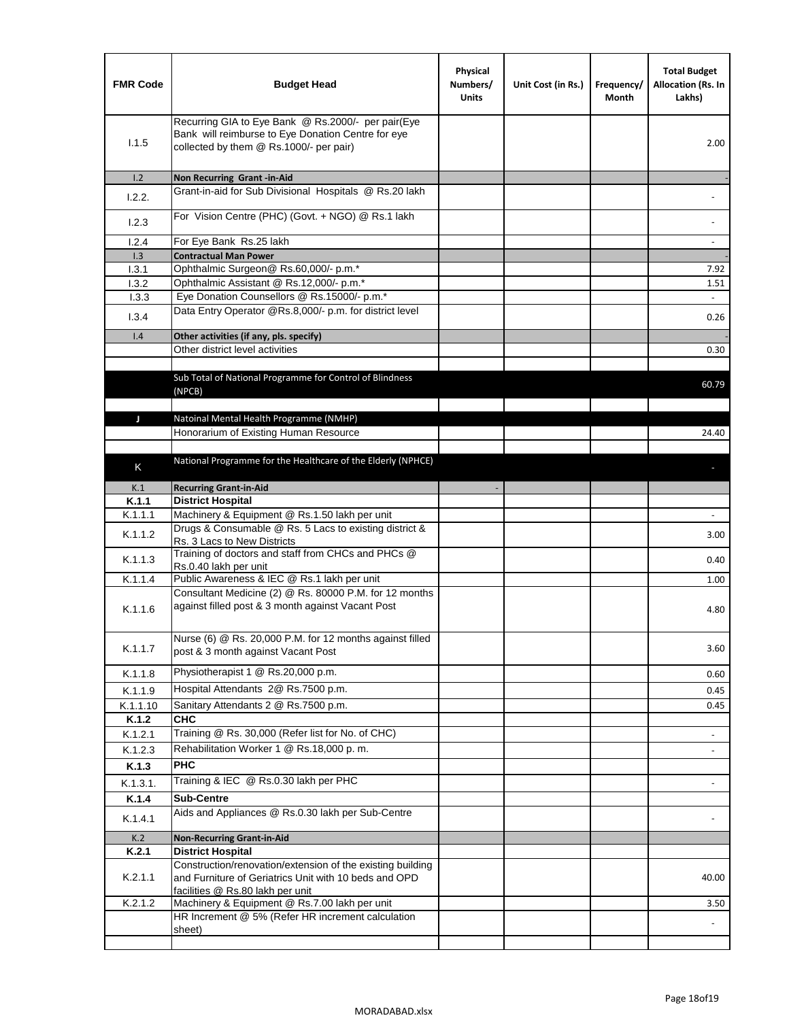| <b>FMR Code</b> | <b>Budget Head</b>                                                                                                                                      | Physical<br>Numbers/<br><b>Units</b> | Unit Cost (in Rs.) | Frequency/<br>Month | <b>Total Budget</b><br>Allocation (Rs. In<br>Lakhs) |
|-----------------|---------------------------------------------------------------------------------------------------------------------------------------------------------|--------------------------------------|--------------------|---------------------|-----------------------------------------------------|
| 1.1.5           | Recurring GIA to Eye Bank @ Rs.2000/- per pair(Eye<br>Bank will reimburse to Eye Donation Centre for eye<br>collected by them @ Rs.1000/- per pair)     |                                      |                    |                     | 2.00                                                |
| 1.2             | Non Recurring Grant -in-Aid                                                                                                                             |                                      |                    |                     |                                                     |
| 1.2.2.          | Grant-in-aid for Sub Divisional Hospitals @ Rs.20 lakh                                                                                                  |                                      |                    |                     |                                                     |
| 1.2.3           | For Vision Centre (PHC) (Govt. + NGO) @ Rs.1 lakh                                                                                                       |                                      |                    |                     |                                                     |
| 1.2.4           | For Eye Bank Rs.25 lakh                                                                                                                                 |                                      |                    |                     | $\blacksquare$                                      |
| 1.3             | <b>Contractual Man Power</b>                                                                                                                            |                                      |                    |                     |                                                     |
| 1.3.1           | Ophthalmic Surgeon@ Rs.60,000/- p.m.*                                                                                                                   |                                      |                    |                     | 7.92                                                |
| 1.3.2           | Ophthalmic Assistant @ Rs.12,000/- p.m.*                                                                                                                |                                      |                    |                     | 1.51                                                |
| 1.3.3           | Eye Donation Counsellors @ Rs.15000/- p.m.*                                                                                                             |                                      |                    |                     | $\omega$                                            |
| 1.3.4           | Data Entry Operator @Rs.8,000/- p.m. for district level                                                                                                 |                                      |                    |                     | 0.26                                                |
| 1.4             | Other activities (if any, pls. specify)                                                                                                                 |                                      |                    |                     |                                                     |
|                 | Other district level activities                                                                                                                         |                                      |                    |                     | 0.30                                                |
|                 |                                                                                                                                                         |                                      |                    |                     |                                                     |
|                 | Sub Total of National Programme for Control of Blindness<br>(NPCB)                                                                                      |                                      |                    |                     | 60.79                                               |
|                 |                                                                                                                                                         |                                      |                    |                     |                                                     |
| J               | Natoinal Mental Health Programme (NMHP)                                                                                                                 |                                      |                    |                     |                                                     |
|                 | Honorarium of Existing Human Resource                                                                                                                   |                                      |                    |                     | 24.40                                               |
|                 |                                                                                                                                                         |                                      |                    |                     |                                                     |
| Κ               | National Programme for the Healthcare of the Elderly (NPHCE)                                                                                            |                                      |                    |                     |                                                     |
| K.1             | <b>Recurring Grant-in-Aid</b>                                                                                                                           |                                      |                    |                     |                                                     |
| K.1.1           | <b>District Hospital</b>                                                                                                                                |                                      |                    |                     |                                                     |
| K.1.1.1         | Machinery & Equipment @ Rs.1.50 lakh per unit                                                                                                           |                                      |                    |                     |                                                     |
| K.1.1.2         | Drugs & Consumable @ Rs. 5 Lacs to existing district &<br>Rs. 3 Lacs to New Districts                                                                   |                                      |                    |                     | 3.00                                                |
| K.1.1.3         | Training of doctors and staff from CHCs and PHCs @<br>Rs.0.40 lakh per unit                                                                             |                                      |                    |                     | 0.40                                                |
| K.1.1.4         | Public Awareness & IEC @ Rs.1 lakh per unit                                                                                                             |                                      |                    |                     | 1.00                                                |
| K.1.1.6         | Consultant Medicine (2) @ Rs. 80000 P.M. for 12 months<br>against filled post & 3 month against Vacant Post                                             |                                      |                    |                     | 4.80                                                |
| K.1.1.7         | Nurse (6) @ Rs. 20,000 P.M. for 12 months against filled<br>post & 3 month against Vacant Post                                                          |                                      |                    |                     | 3.60                                                |
| K.1.1.8         | Physiotherapist 1 @ Rs.20,000 p.m.                                                                                                                      |                                      |                    |                     | 0.60                                                |
| K.1.1.9         | Hospital Attendants 2@ Rs.7500 p.m.                                                                                                                     |                                      |                    |                     | 0.45                                                |
| K.1.1.10        | Sanitary Attendants 2 @ Rs.7500 p.m.                                                                                                                    |                                      |                    |                     | 0.45                                                |
| K.1.2           | СНС                                                                                                                                                     |                                      |                    |                     |                                                     |
| K.1.2.1         | Training @ Rs. 30,000 (Refer list for No. of CHC)                                                                                                       |                                      |                    |                     |                                                     |
| K.1.2.3         | Rehabilitation Worker 1 @ Rs.18,000 p.m.                                                                                                                |                                      |                    |                     | $\overline{\phantom{a}}$                            |
| K.1.3           | <b>PHC</b>                                                                                                                                              |                                      |                    |                     |                                                     |
|                 | Training & IEC @ Rs.0.30 lakh per PHC                                                                                                                   |                                      |                    |                     |                                                     |
| K.1.3.1.        |                                                                                                                                                         |                                      |                    |                     |                                                     |
| K.1.4           | <b>Sub-Centre</b><br>Aids and Appliances @ Rs.0.30 lakh per Sub-Centre                                                                                  |                                      |                    |                     |                                                     |
| K.1.4.1         |                                                                                                                                                         |                                      |                    |                     |                                                     |
| K.2             | <b>Non-Recurring Grant-in-Aid</b>                                                                                                                       |                                      |                    |                     |                                                     |
| K.2.1           | <b>District Hospital</b>                                                                                                                                |                                      |                    |                     |                                                     |
| K.2.1.1         | Construction/renovation/extension of the existing building<br>and Furniture of Geriatrics Unit with 10 beds and OPD<br>facilities @ Rs.80 lakh per unit |                                      |                    |                     | 40.00                                               |
| K.2.1.2         | Machinery & Equipment @ Rs.7.00 lakh per unit                                                                                                           |                                      |                    |                     | 3.50                                                |
|                 | HR Increment @ 5% (Refer HR increment calculation                                                                                                       |                                      |                    |                     |                                                     |
|                 | sheet)                                                                                                                                                  |                                      |                    |                     |                                                     |